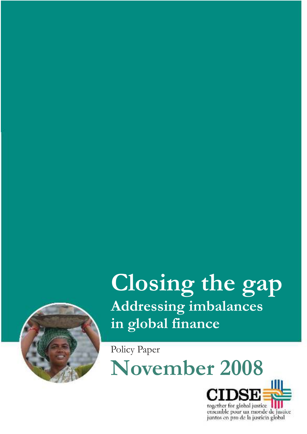

# **Closing the gap Addressing imbalances in global finance**

Policy Paper

**November 2008**



ensemble pour un monde de justice juntos en pro de la justicia global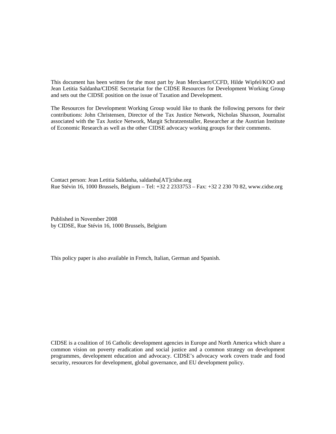This document has been written for the most part by Jean Merckaert/CCFD, Hilde Wipfel/KOO and Jean Letitia Saldanha/CIDSE Secretariat for the CIDSE Resources for Development Working Group and sets out the CIDSE position on the issue of Taxation and Development.

The Resources for Development Working Group would like to thank the following persons for their contributions: John Christensen, Director of the Tax Justice Network, Nicholas Shaxson, Journalist associated with the Tax Justice Network, Margit Schratzenstaller, Researcher at the Austrian Institute of Economic Research as well as the other CIDSE advocacy working groups for their comments.

Contact person: Jean Letitia Saldanha, saldanha[AT]cidse.org Rue Stévin 16, 1000 Brussels, Belgium – Tel: +32 2 2333753 – Fax: +32 2 230 70 82, www.cidse.org

Published in November 2008 by CIDSE, Rue Stévin 16, 1000 Brussels, Belgium

This policy paper is also available in French, Italian, German and Spanish.

CIDSE is a coalition of 16 Catholic development agencies in Europe and North America which share a common vision on poverty eradication and social justice and a common strategy on development programmes, development education and advocacy. CIDSE's advocacy work covers trade and food security, resources for development, global governance, and EU development policy.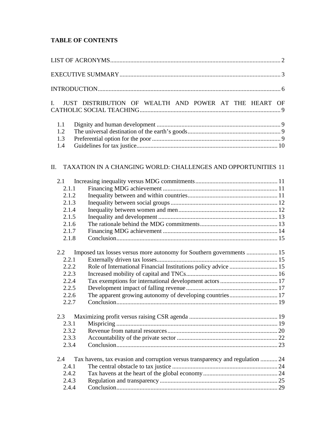# **TABLE OF CONTENTS**

| I.             | JUST DISTRIBUTION OF WEALTH AND POWER AT THE HEART OF                         |  |
|----------------|-------------------------------------------------------------------------------|--|
| 1.1            |                                                                               |  |
| 1.2            |                                                                               |  |
| 1.3            |                                                                               |  |
| 1.4            |                                                                               |  |
| П.             | TAXATION IN A CHANGING WORLD: CHALLENGES AND OPPORTUNITIES 11                 |  |
| 2.1            |                                                                               |  |
| 2.1.1          |                                                                               |  |
| 2.1.2          |                                                                               |  |
| 2.1.3          |                                                                               |  |
| 2.1.4          |                                                                               |  |
| 2.1.5          |                                                                               |  |
| 2.1.6          |                                                                               |  |
| 2.1.7          |                                                                               |  |
| 2.1.8          |                                                                               |  |
| 2.2            | Imposed tax losses versus more autonomy for Southern governments  15          |  |
| 2.2.1          |                                                                               |  |
| 2.2.2          | Role of International Financial Institutions policy advice  15                |  |
| 2.2.3          |                                                                               |  |
| 2.2.4          |                                                                               |  |
| 2.2.5          |                                                                               |  |
|                |                                                                               |  |
| 2.2.6<br>2.2.7 | The apparent growing autonomy of developing countries 17                      |  |
| 2.3            |                                                                               |  |
| 2.3.1          |                                                                               |  |
| 2.3.2          |                                                                               |  |
| 2.3.3          |                                                                               |  |
| 2.3.4          |                                                                               |  |
| 2.4            | Tax havens, tax evasion and corruption versus transparency and regulation  24 |  |
| 2.4.1          |                                                                               |  |
| 2.4.2          |                                                                               |  |
| 2.4.3          |                                                                               |  |
| 2.4.4          |                                                                               |  |
|                |                                                                               |  |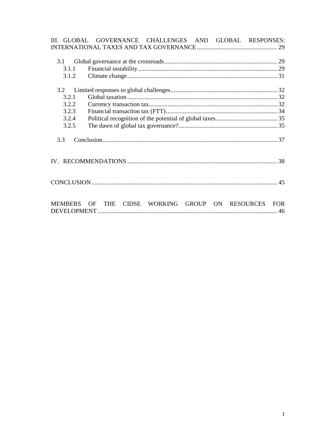|                | III. GLOBAL GOVERNANCE CHALLENGES AND GLOBAL RESPONSES: |  |                                      |
|----------------|---------------------------------------------------------|--|--------------------------------------|
|                |                                                         |  |                                      |
|                |                                                         |  |                                      |
| 3.1            |                                                         |  |                                      |
| 3.1.1          |                                                         |  |                                      |
| 3.1.2          |                                                         |  |                                      |
|                |                                                         |  |                                      |
| 3.2            |                                                         |  |                                      |
| 3.2.1          |                                                         |  |                                      |
| 3.2.2          |                                                         |  |                                      |
| 3.2.3          |                                                         |  |                                      |
| 3.2.4          |                                                         |  |                                      |
| 3.2.5          |                                                         |  |                                      |
|                |                                                         |  |                                      |
| 3.3            |                                                         |  |                                      |
|                |                                                         |  |                                      |
|                |                                                         |  |                                      |
|                |                                                         |  |                                      |
|                |                                                         |  |                                      |
|                |                                                         |  |                                      |
|                |                                                         |  |                                      |
|                |                                                         |  |                                      |
|                |                                                         |  |                                      |
| <b>MEMBERS</b> | <b>THE</b><br>OF                                        |  | CIDSE WORKING GROUP ON RESOURCES FOR |
|                |                                                         |  |                                      |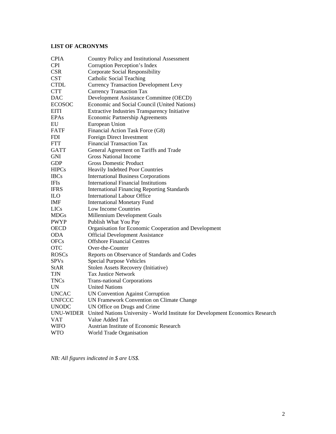# **LIST OF ACRONYMS**

| <b>CPIA</b>   | Country Policy and Institutional Assessment                                    |
|---------------|--------------------------------------------------------------------------------|
| <b>CPI</b>    | Corruption Perception's Index                                                  |
| <b>CSR</b>    | <b>Corporate Social Responsibility</b>                                         |
| <b>CST</b>    | <b>Catholic Social Teaching</b>                                                |
| <b>CTDL</b>   | <b>Currency Transaction Development Levy</b>                                   |
| <b>CTT</b>    | <b>Currency Transaction Tax</b>                                                |
| <b>DAC</b>    | Development Assistance Committee (OECD)                                        |
| <b>ECOSOC</b> | Economic and Social Council (United Nations)                                   |
| EITI          | Extractive Industries Transparency Initiative                                  |
| <b>EPAs</b>   | <b>Economic Partnership Agreements</b>                                         |
| EU            | European Union                                                                 |
| FATF          | Financial Action Task Force (G8)                                               |
| <b>FDI</b>    | Foreign Direct Investment                                                      |
| FTT           | <b>Financial Transaction Tax</b>                                               |
| <b>GATT</b>   | General Agreement on Tariffs and Trade                                         |
| GNI           | <b>Gross National Income</b>                                                   |
| GDP           | <b>Gross Domestic Product</b>                                                  |
| <b>HIPCs</b>  | Heavily Indebted Poor Countries                                                |
| <b>IBCs</b>   | <b>International Business Corporations</b>                                     |
| <b>IFIs</b>   | <b>International Financial Institutions</b>                                    |
| <b>IFRS</b>   | <b>International Financing Reporting Standards</b>                             |
| ILO.          | <b>International Labour Office</b>                                             |
| IMF           | <b>International Monetary Fund</b>                                             |
| <b>LICs</b>   | Low Income Countries                                                           |
| <b>MDGs</b>   | Millennium Development Goals                                                   |
| <b>PWYP</b>   | Publish What You Pay                                                           |
| <b>OECD</b>   | Organisation for Economic Cooperation and Development                          |
| ODA           | <b>Official Development Assistance</b>                                         |
| <b>OFCs</b>   | <b>Offshore Financial Centres</b>                                              |
| <b>OTC</b>    | Over-the-Counter                                                               |
| <b>ROSCs</b>  | Reports on Observance of Standards and Codes                                   |
| <b>SPVs</b>   | <b>Special Purpose Vehicles</b>                                                |
| <b>StAR</b>   | Stolen Assets Recovery (Initiative)                                            |
| TJN           | <b>Tax Justice Network</b>                                                     |
| TNCs          | <b>Trans-national Corporations</b>                                             |
| UN            | <b>United Nations</b>                                                          |
| <b>UNCAC</b>  | <b>UN Convention Against Corruption</b>                                        |
| <b>UNFCCC</b> | UN Framework Convention on Climate Change                                      |
| <b>UNODC</b>  | UN Office on Drugs and Crime                                                   |
| UNU-WIDER     | United Nations University - World Institute for Development Economics Research |
| VAT           | Value Added Tax                                                                |
| WIFO          | Austrian Institute of Economic Research                                        |
| WTO           | World Trade Organisation                                                       |

*NB: All figures indicated in \$ are US\$.*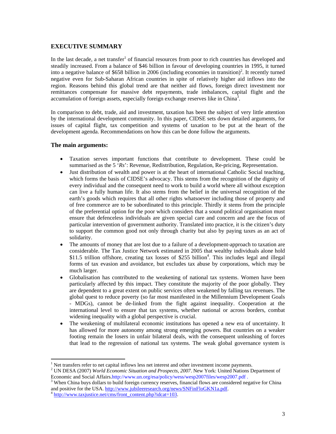## **EXECUTIVE SUMMARY**

In the last decade, a net transfer<sup>1</sup> of financial resources from poor to rich countries has developed and steadily increased. From a balance of \$46 billion in favour of developing countries in 1995, it turned into a negative balance of \$658 billion in 2006 (including economies in transition)<sup>2</sup>. It recently turned negative even for Sub-Saharan African countries in spite of relatively higher aid inflows into the region. Reasons behind this global trend are that neither aid flows, foreign direct investment nor remittances compensate for massive debt repayments, trade imbalances, capital flight and the accumulation of foreign assets, especially foreign exchange reserves like in China $3$ .

In comparison to debt, trade, aid and investment, taxation has been the subject of very little attention by the international development community. In this paper, CIDSE sets down detailed arguments, for issues of capital flight, tax competition and systems of taxation to be put at the heart of the development agenda. Recommendations on how this can be done follow the arguments.

## **The main arguments:**

- Taxation serves important functions that contribute to development. These could be summarised as the 5 'Rs': Revenue, Redistribution, Regulation, Re-pricing, Representation.
- Just distribution of wealth and power is at the heart of international Catholic Social teaching, which forms the basis of CIDSE's advocacy. This stems from the recognition of the dignity of every individual and the consequent need to work to build a world where all without exception can live a fully human life. It also stems from the belief in the universal recognition of the earth's goods which requires that all other rights whatsoever including those of property and of free commerce are to be subordinated to this principle. Thirdly it stems from the principle of the preferential option for the poor which considers that a sound political organisation must ensure that defenceless individuals are given special care and concern and are the focus of particular intervention of government authority. Translated into practice, it is the citizen's duty to support the common good not only through charity but also by paying taxes as an act of solidarity.
- The amounts of money that are lost due to a failure of a development-approach to taxation are considerable. The Tax Justice Network estimated in 2005 that wealthy individuals alone hold \$11.5 trillion offshore, creating tax losses of \$255 billion<sup>4</sup>. This includes legal and illegal forms of tax evasion and avoidance, but excludes tax abuse by corporations, which may be much larger.
- Globalisation has contributed to the weakening of national tax systems. Women have been particularly affected by this impact. They constitute the majority of the poor globally. They are dependent to a great extent on public services often weakened by falling tax revenues. The global quest to reduce poverty (so far most manifested in the Millennium Development Goals - MDGs), cannot be de-linked from the fight against inequality. Cooperation at the international level to ensure that tax systems, whether national or across borders, combat widening inequality with a global perspective is crucial.
- The weakening of multilateral economic institutions has opened a new era of uncertainty. It has allowed for more autonomy among strong emerging powers. But countries on a weaker footing remain the losers in unfair bilateral deals, with the consequent unleashing of forces that lead to the regression of national tax systems. The weak global governance system is

 $\overline{a}$ <sup>1</sup> Net transfers refer to net capital inflows less net interest and other investment income payments.

<sup>2</sup> UN DESA (2007) *World Economic Situation and Prospects, 2007*. New York: United Nations Department of Economic and Social Affairs.http://www.un.org/esa/policy/wess/wesp2007files/wesp2007.pdf .

<sup>&</sup>lt;sup>3</sup> When China buys dollars to build foreign currency reserves, financial flows are considered negative for China and positive for the USA. http://www.jubileeresearch.org/news/SNFinFloGKN1a.pdf.

<sup>&</sup>lt;sup>4</sup> http://www.taxjustice.net/cms/front\_content.php?idcat=103.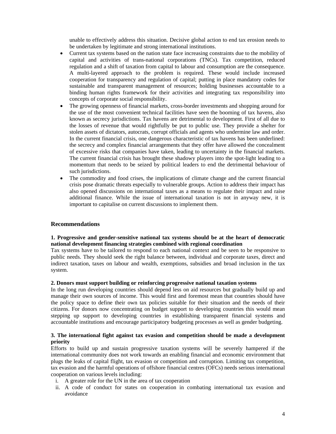unable to effectively address this situation. Decisive global action to end tax erosion needs to be undertaken by legitimate and strong international institutions.

- Current tax systems based on the nation state face increasing constraints due to the mobility of capital and activities of trans-national corporations (TNCs). Tax competition, reduced regulation and a shift of taxation from capital to labour and consumption are the consequence. A multi-layered approach to the problem is required. These would include increased cooperation for transparency and regulation of capital; putting in place mandatory codes for sustainable and transparent management of resources; holding businesses accountable to a binding human rights framework for their activities and integrating tax responsibility into concepts of corporate social responsibility.
- The growing openness of financial markets, cross-border investments and shopping around for the use of the most convenient technical facilities have seen the booming of tax havens, also known as secrecy jurisdictions. Tax havens are detrimental to development. First of all due to the losses of revenue that would rightfully be put to public use. They provide a shelter for stolen assets of dictators, autocrats, corrupt officials and agents who undermine law and order. In the current financial crisis, one dangerous characteristic of tax havens has been underlined: the secrecy and complex financial arrangements that they offer have allowed the concealment of excessive risks that companies have taken, leading to uncertainty in the financial markets. The current financial crisis has brought these shadowy players into the spot-light leading to a momentum that needs to be seized by political leaders to end the detrimental behaviour of such jurisdictions.
- The commodity and food crises, the implications of climate change and the current financial crisis pose dramatic threats especially to vulnerable groups. Action to address their impact has also opened discussions on international taxes as a means to regulate their impact and raise additional finance. While the issue of international taxation is not in anyway new, it is important to capitalise on current discussions to implement them.

#### **Recommendations**

#### **1. Progressive and gender-sensitive national tax systems should be at the heart of democratic national development financing strategies combined with regional coordination**

Tax systems have to be tailored to respond to each national context and be seen to be responsive to public needs. They should seek the right balance between, individual and corporate taxes, direct and indirect taxation, taxes on labour and wealth, exemptions, subsidies and broad inclusion in the tax system.

#### **2. Donors must support building or reinforcing progressive national taxation systems**

In the long run developing countries should depend less on aid resources but gradually build up and manage their own sources of income. This would first and foremost mean that countries should have the policy space to define their own tax policies suitable for their situation and the needs of their citizens. For donors now concentrating on budget support to developing countries this would mean stepping up support to developing countries in establishing transparent financial systems and accountable institutions and encourage participatory budgeting processes as well as gender budgeting.

#### **3. The international fight against tax evasion and competition should be made a development priority**

Efforts to build up and sustain progressive taxation systems will be severely hampered if the international community does not work towards an enabling financial and economic environment that plugs the leaks of capital flight, tax evasion or competition and corruption. Limiting tax competition, tax evasion and the harmful operations of offshore financial centres (OFCs) needs serious international cooperation on various levels including:

- i. A greater role for the UN in the area of tax cooperation
- ii. A code of conduct for states on cooperation in combating international tax evasion and avoidance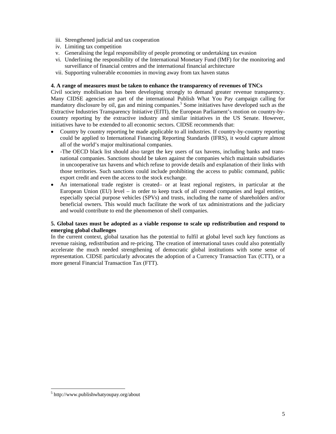- iii. Strengthened judicial and tax cooperation
- iv. Limiting tax competition
- v. Generalising the legal responsibility of people promoting or undertaking tax evasion
- vi. Underlining the responsibility of the International Monetary Fund (IMF) for the monitoring and surveillance of financial centres and the international financial architecture
- vii. Supporting vulnerable economies in moving away from tax haven status

#### **4. A range of measures must be taken to enhance the transparency of revenues of TNCs**

Civil society mobilisation has been developing strongly to demand greater revenue transparency. Many CIDSE agencies are part of the international Publish What You Pay campaign calling for mandatory disclosure by oil, gas and mining companies.<sup>5</sup> Some initiatives have developed such as the Extractive Industries Transparency Initiative (EITI), the European Parliament's motion on country-bycountry reporting by the extractive industry and similar initiatives in the US Senate. However, initiatives have to be extended to all economic sectors. CIDSE recommends that:

- Country by country reporting be made applicable to all industries. If country-by-country reporting could be applied to International Financing Reporting Standards (IFRS), it would capture almost all of the world's major multinational companies.
- -The OECD black list should also target the key users of tax havens, including banks and transnational companies. Sanctions should be taken against the companies which maintain subsidiaries in uncooperative tax havens and which refuse to provide details and explanation of their links with those territories. Such sanctions could include prohibiting the access to public command, public export credit and even the access to the stock exchange.
- An international trade register is created– or at least regional registers, in particular at the European Union (EU) level – in order to keep track of all created companies and legal entities, especially special purpose vehicles (SPVs) and trusts, including the name of shareholders and/or beneficial owners. This would much facilitate the work of tax administrations and the judiciary and would contribute to end the phenomenon of shell companies.

#### **5. Global taxes must be adopted as a viable response to scale up redistribution and respond to emerging global challenges**

In the current context, global taxation has the potential to fulfil at global level such key functions as revenue raising, redistribution and re-pricing. The creation of international taxes could also potentially accelerate the much needed strengthening of democratic global institutions with some sense of representation. CIDSE particularly advocates the adoption of a Currency Transaction Tax (CTT), or a more general Financial Transaction Tax (FTT).

 $\overline{a}$ 

<sup>5</sup> http://www.publishwhatyoupay.org/about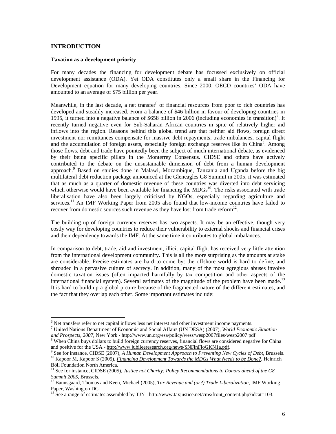## **INTRODUCTION**

 $\overline{a}$ 

#### **Taxation as a development priority**

For many decades the financing for development debate has focussed exclusively on official development assistance (ODA). Yet ODA constitutes only a small share in the Financing for Development equation for many developing countries. Since 2000, OECD countries' ODA have amounted to an average of \$75 billion per year.

Meanwhile, in the last decade, a net transfer<sup>6</sup> of financial resources from poor to rich countries has developed and steadily increased. From a balance of \$46 billion in favour of developing countries in 1995, it turned into a negative balance of \$658 billion in 2006 (including economies in transition)<sup>7</sup>. It recently turned negative even for Sub-Saharan African countries in spite of relatively higher aid inflows into the region. Reasons behind this global trend are that neither aid flows, foreign direct investment nor remittances compensate for massive debt repayments, trade imbalances, capital flight and the accumulation of foreign assets, especially foreign exchange reserves like in China<sup>8</sup>. Among those flows, debt and trade have pointedly been the subject of much international debate, as evidenced by their being specific pillars in the Monterrey Consensus. CIDSE and others have actively contributed to the debate on the unsustainable dimension of debt from a human development approach.<sup>9</sup> Based on studies done in Malawi, Mozambique, Tanzania and Uganda before the big multilateral debt reduction package announced at the Gleneagles G8 Summit in 2005, it was estimated that as much as a quarter of domestic revenue of these countries was diverted into debt servicing which otherwise would have been available for financing the  $MDGs^{10}$ . The risks associated with trade liberalisation have also been largely criticised by NGOs, especially regarding agriculture and services.<sup>11</sup> An IMF Working Paper from 2005 also found that low-income countries have failed to recover from domestic sources such revenue as they have lost from trade reform $^{12}$ .

The building up of foreign currency reserves has two aspects. It may be an effective, though very costly way for developing countries to reduce their vulnerability to external shocks and financial crises and their dependency towards the IMF. At the same time it contributes to global imbalances.

In comparison to debt, trade, aid and investment, illicit capital flight has received very little attention from the international development community. This is all the more surprising as the amounts at stake are considerable. Precise estimates are hard to come by: the offshore world is hard to define, and shrouded in a pervasive culture of secrecy. In addition, many of the most egregious abuses involve domestic taxation issues (often impacted harmfully by tax competition and other aspects of the international financial system). Several estimates of the magnitude of the problem have been made.<sup>13</sup> It is hard to build up a global picture because of the fragmented nature of the different estimates, and the fact that they overlap each other. Some important estimates include:

<sup>&</sup>lt;sup>6</sup> Net transfers refer to net capital inflows less net interest and other investment income payments.

<sup>7</sup> United Nations Department of Economic and Social Affairs (UN DESA) (2007), *World Economic Situation and Prospects, 2007,* New York - http://www.un.org/esa/policy/wess/wesp2007files/wesp2007.pdf.

<sup>&</sup>lt;sup>8</sup> When China buys dollars to build foreign currency reserves, financial flows are considered negative for China and positive for the USA - http://www.jubileeresearch.org/news/SNFinFloGKN1a.pdf.

<sup>9</sup> See for instance, CIDSE (2007), *A Human Development Approach to Preventing New Cycles of Debt*, Brussels. <sup>10</sup> Kapoor M, Kapoor S (2005), *Financing Development Towards the MDGs What Needs to be Done?*, Heinrich Böll Foundation North America.

<sup>&</sup>lt;sup>11</sup> See for instance, CIDSE (2005), Justice not Charity: Policy Recommendations to Donors ahead of the G8 *Summit 2005,* Brussels.

<sup>12</sup> Baunsgaard, Thomas and Keen, Michael (2005), *Tax Revenue and (or?) Trade Liberalization,* IMF Working Paper, Washington DC.

<sup>&</sup>lt;sup>13</sup> See a range of estimates assembled by TJN - http://www.taxjustice.net/cms/front\_content.php?idcat=103.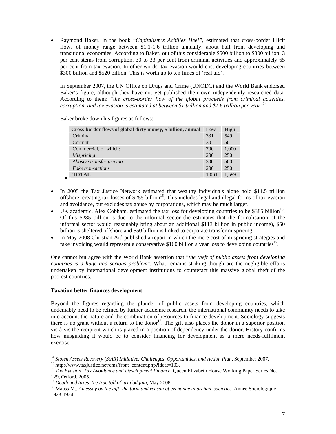Raymond Baker, in the book "*Capitalism's Achilles Heel"*, estimated that cross-border illicit flows of money range between \$1.1-1.6 trillion annually, about half from developing and transitional economies. According to Baker, out of this considerable \$500 billion to \$800 billion, 3 per cent stems from corruption, 30 to 33 per cent from criminal activities and approximately 65 per cent from tax evasion. In other words, tax evasion would cost developing countries between \$300 billion and \$520 billion. This is worth up to ten times of 'real aid'.

In September 2007, the UN Office on Drugs and Crime (UNODC) and the World Bank endorsed Baker's figure, although they have not yet published their own independently researched data. According to them: "*the cross-border flow of the global proceeds from criminal activities, corruption, and tax evasion is estimated at between \$1 trillion and \$1.6 trillion per year*" 14 .

Baker broke down his figures as follows:

 $\bullet$ 

 $\overline{a}$ 

| Cross-border flows of global dirty money, \$ billion, annual | Low   | High  |
|--------------------------------------------------------------|-------|-------|
| Criminal                                                     | 331   | 549   |
| Corrupt                                                      | 30    | 50    |
| Commercial, of which:                                        | 700   | 1.000 |
| <b>Mispricing</b>                                            | 200   | 250   |
| Abusive transfer pricing                                     | 300   | 500   |
| Fake transactions                                            | 200   | 250   |
| <b>TOTAL</b>                                                 | 1,061 | 1.599 |

- In 2005 the Tax Justice Network estimated that wealthy individuals alone hold \$11.5 trillion offshore, creating tax losses of \$255 billion<sup>15</sup>. This includes legal and illegal forms of tax evasion and avoidance, but excludes tax abuse by corporations, which may be much larger.
- UK academic, Alex Cobham, estimated the tax loss for developing countries to be \$385 billion<sup>16</sup>. Of this \$285 billion is due to the informal sector (he estimates that the formalisation of the informal sector would reasonably bring about an additional \$113 billion in public income), \$50 billion is sheltered offshore and \$50 billion is linked to corporate transfer mispricing.
- In May 2008 Christian Aid published a report in which the mere cost of mispricing strategies and fake invoicing would represent a conservative \$160 billion a year loss to developing countries<sup>17</sup>.

One cannot but agree with the World Bank assertion that "*the theft of public assets from developing countries is a huge and serious problem*". What remains striking though are the negligible efforts undertaken by international development institutions to counteract this massive global theft of the poorest countries.

## **Taxation better finances development**

Beyond the figures regarding the plunder of public assets from developing countries, which undeniably need to be refined by further academic research, the international community needs to take into account the nature and the combination of resources to finance development. Sociology suggests there is no grant without a return to the donor<sup>18</sup>. The gift also places the donor in a superior position vis-à-vis the recipient which is placed in a position of dependency under the donor. History confirms how misguiding it would be to consider financing for development as a mere needs-fulfilment exercise.

<sup>&</sup>lt;sup>14</sup> Stolen Assets Recovery (StAR) Initiative: Challenges, Opportunities, and Action Plan, September 2007. <sup>15</sup> http://www.taxjustice.net/cms/front\_content.php?idcat=103.

<sup>&</sup>lt;sup>16</sup> Tax Evasion, Tax Avoidance and Development Finance, Queen Elizabeth House Working Paper Series No. 129, Oxford, 2005.

<sup>17</sup> *Death and taxes, the true toll of tax dodging*, May 2008.

<sup>&</sup>lt;sup>18</sup> Mauss M., *An essay on the gift: the form and reason of exchange in archaic societies, Année Sociologique* 1923-1924.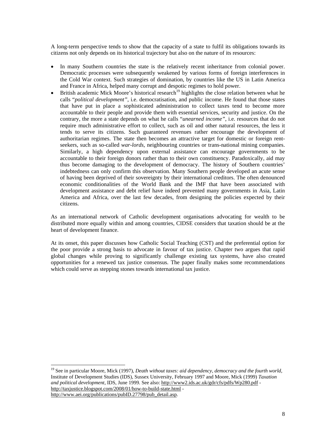A long-term perspective tends to show that the capacity of a state to fulfil its obligations towards its citizens not only depends on its historical trajectory but also on the nature of its resources:

- In many Southern countries the state is the relatively recent inheritance from colonial power. Democratic processes were subsequently weakened by various forms of foreign interferences in the Cold War context. Such strategies of domination, by countries like the US in Latin America and France in Africa, helped many corrupt and despotic regimes to hold power.
- British academic Mick Moore's historical research<sup>19</sup> highlights the close relation between what he calls "*political development"*, i.e. democratisation, and public income. He found that those states that have put in place a sophisticated administration to collect taxes tend to become more accountable to their people and provide them with essential services, security and justice. On the contrary, the more a state depends on what he calls "*unearned income"*, i.e. resources that do not require much administrative effort to collect, such as oil and other natural resources, the less it tends to serve its citizens. Such guaranteed revenues rather encourage the development of authoritarian regimes. The state then becomes an attractive target for domestic or foreign rentseekers, such as so-called *war-lords*, neighbouring countries or trans-national mining companies. Similarly, a high dependency upon external assistance can encourage governments to be accountable to their foreign donors rather than to their own constituency. Paradoxically, aid may thus become damaging to the development of democracy. The history of Southern countries' indebtedness can only confirm this observation. Many Southern people developed an acute sense of having been deprived of their sovereignty by their international creditors. The often denounced economic conditionalities of the World Bank and the IMF that have been associated with development assistance and debt relief have indeed prevented many governments in Asia, Latin America and Africa, over the last few decades, from designing the policies expected by their citizens.

As an international network of Catholic development organisations advocating for wealth to be distributed more equally within and among countries, CIDSE considers that taxation should be at the heart of development finance.

At its onset, this paper discusses how Catholic Social Teaching (CST) and the preferential option for the poor provide a strong basis to advocate in favour of tax justice. Chapter two argues that rapid global changes while proving to significantly challenge existing tax systems, have also created opportunities for a renewed tax justice consensus. The paper finally makes some recommendations which could serve as stepping stones towards international tax justice.

<sup>19</sup> See in particular Moore, Mick (1997), *Death without taxes: aid dependency, democracy and the fourth world,* Institute of Development Studies (IDS), Sussex University, February 1997 and Moore, Mick (1999) *Taxation and political development*, IDS, June 1999. See also: http://www2.ids.ac.uk/gdr/cfs/pdfs/Wp280.pdf http://taxjustice.blogspot.com/2008/01/how-to-build-state.html http://www.aei.org/publications/pubID.27798/pub\_detail.asp.

 $\overline{a}$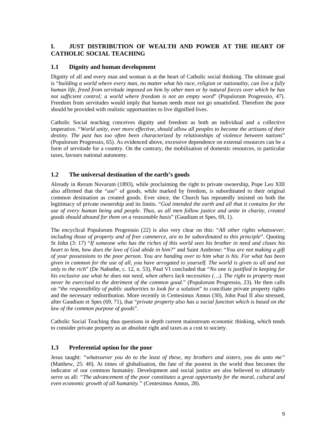## **I. JUST DISTRIBUTION OF WEALTH AND POWER AT THE HEART OF CATHOLIC SOCIAL TEACHING**

#### **1.1 Dignity and human development**

Dignity of all and every man and woman is at the heart of Catholic social thinking. The ultimate goal is "*building a world where every man, no matter what his race, religion or nationality, can live a fully human life, freed from servitude imposed on him by other men or by natural forces over which he has not sufficient control; a world where freedom is not an empty word*" (Populorum Progressio, 47). Freedom from servitudes would imply that human needs must not go unsatisfied. Therefore the poor should be provided with realistic opportunities to live dignified lives.

Catholic Social teaching conceives dignity and freedom as both an individual and a collective imperative. "*World unity, ever more effective, should allow all peoples to become the artisans of their destiny*. *The past has too often been characterized by relationships of violence between nations*" (Populorum Progressio, 65). As evidenced above, excessive dependence on external resources can be a form of servitude for a country. On the contrary, the mobilisation of domestic resources, in particular taxes, favours national autonomy.

## **1.2 The universal destination of the earth's goods**

Already in Rerum Novarum (1893), while proclaiming the right to private ownership, Pope Leo XIII also affirmed that the "*use*" of goods, while marked by freedom, is subordinated to their original common destination as created goods. Ever since, the Church has repeatedly insisted on both the legitimacy of private ownership and its limits. "*God intended the earth and all that it contains for the use of every human being and people. Thus, as all men follow justice and unite in charity, created goods should abound for them on a reasonable basis*" (Gaudium et Spes, 69, 1).

The encyclical Populorum Progressio (22) is also very clear on this: "*All other rights whatsoever, including those of property and of free commerce, are to be subordinated to this principle*". Quoting St John (3: 17) "*If someone who has the riches of this world sees his brother in need and closes his heart to him, how does the love of God abide in him?*" and Saint Ambrose: "*You are not making a gift of your possessions to the poor person. You are handing over to him what is his. For what has been given in common for the use of all, you have arrogated to yourself. The world is given to all and not only to the rich*" (De Nabuthe, c. 12, n. 53), Paul VI concluded that "*No one is justified in keeping for his exclusive use what he does not need, when others lack necessities (…). The right to property must never be exercised to the detriment of the common good*." (Populorum Progressio, 23). He then calls on "*the responsibility of public authorities to look for a solution*" to conciliate private property rights and the necessary redistribution. More recently in Centesimus Annus (30), John Paul II also stressed, after Gaudium et Spes (69, 71), that "*private property also has a social function which is based on the law of the common purpose of goods*".

Catholic Social Teaching thus questions in depth current mainstream economic thinking, which tends to consider private property as an absolute right and taxes as a cost to society.

## **1.3 Preferential option for the poor**

Jesus taught: *"whatsoever you do to the least of these, my brothers and sisters, you do unto me"* (Matthew, 25: 40). At times of globalisation, the fate of the poorest in the world thus becomes the indicator of our common humanity. Development and social justice are also believed to ultimately serve us all: *"The advancement of the poor constitutes a great opportunity for the moral, cultural and even economic growth of all humanity."* (Centesimus Annus, 28).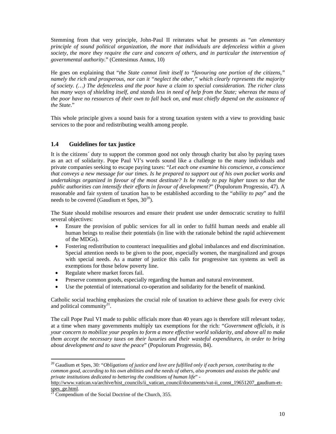Stemming from that very principle, John-Paul II reiterates what he presents as "*an elementary principle of sound political organization, the more that individuals are defenceless within a given society, the more they require the care and concern of others, and in particular the intervention of governmental authority.*" (Centesimus Annus, 10)

He goes on explaining that "*the State cannot limit itself to "favouring one portion of the citizens," namely the rich and prosperous, nor can it "neglect the other," which clearly represents the majority of society. (…) The defenceless and the poor have a claim to special consideration. The richer class has many ways of shielding itself, and stands less in need of help from the State; whereas the mass of the poor have no resources of their own to fall back on, and must chiefly depend on the assistance of the State*."

This whole principle gives a sound basis for a strong taxation system with a view to providing basic services to the poor and redistributing wealth among people.

# **1.4 Guidelines for tax justice**

It is the citizens´ duty to support the common good not only through charity but also by paying taxes as an act of solidarity. Pope Paul VI's words sound like a challenge to the many individuals and private companies seeking to escape paying taxes: "*Let each one examine his conscience, a conscience that conveys a new message for our times. Is he prepared to support out of his own pocket works and undertakings organized in favour of the most destitute? Is he ready to pay higher taxes so that the public authorities can intensify their efforts in favour of development?*" (Populorum Progressio, 47). A reasonable and fair system of taxation has to be established according to the "*ability to pay*" and the needs to be covered (Gaudium et Spes,  $30^{20}$ ).

The State should mobilise resources and ensure their prudent use under democratic scrutiny to fulfil several objectives:

- Ensure the provision of public services for all in order to fulfil human needs and enable all human beings to realise their potentials (in line with the rationale behind the rapid achievement of the MDGs).
- Fostering redistribution to counteract inequalities and global imbalances and end discrimination. Special attention needs to be given to the poor, especially women, the marginalized and groups with special needs. As a matter of justice this calls for progressive tax systems as well as exemptions for those below poverty line.
- Regulate where market forces fail.

 $\overline{a}$ 

- Preserve common goods, especially regarding the human and natural environment.
- Use the potential of international co-operation and solidarity for the benefit of mankind.

Catholic social teaching emphasizes the crucial role of taxation to achieve these goals for every civic and political community $2<sup>1</sup>$ .

The call Pope Paul VI made to public officials more than 40 years ago is therefore still relevant today, at a time when many governments multiply tax exemptions for the rich: "*Government officials, it is your concern to mobilize your peoples to form a more effective world solidarity, and above all to make them accept the necessary taxes on their luxuries and their wasteful expenditures, in order to bring about development and to save the peace*" (Populorum Progressio, 84).

<sup>&</sup>lt;sup>20</sup> Gaudium et Spes, 30: "*Obligations of justice and love are fulfilled only if each person, contributing to the common good, according to his own abilities and the needs of others, also promotes and assists the public and private institutions dedicated to bettering the conditions of human life*" -

http://www.vatican.va/archive/hist\_councils/ii\_vatican\_council/documents/vat-ii\_const\_19651207\_gaudium-etspes\_ge.html.

 $21$  Compendium of the Social Doctrine of the Church, 355.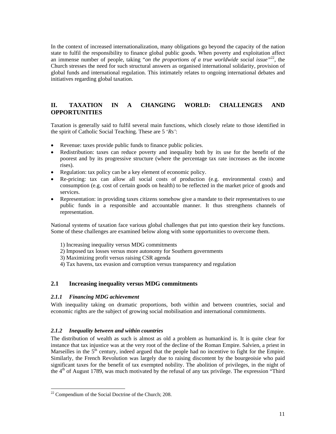In the context of increased internationalization, many obligations go beyond the capacity of the nation state to fulfil the responsibility to finance global public goods. When poverty and exploitation affect an immense number of people, taking "*on the proportions of a true worldwide social issue"*<sup>22</sup>, the Church stresses the need for such structural answers as organised international solidarity, provision of global funds and international regulation. This intimately relates to ongoing international debates and initiatives regarding global taxation.

# **II. TAXATION IN A CHANGING WORLD: CHALLENGES AND OPPORTUNITIES**

Taxation is generally said to fulfil several main functions, which closely relate to those identified in the spirit of Catholic Social Teaching. These are 5 '*Rs'*:

- Revenue: taxes provide public funds to finance public policies.
- Redistribution: taxes can reduce poverty and inequality both by its use for the benefit of the poorest and by its progressive structure (where the percentage tax rate increases as the income rises).
- Regulation: tax policy can be a key element of economic policy.
- Re-pricing: tax can allow all social costs of production (e.g. environmental costs) and consumption (e.g. cost of certain goods on health) to be reflected in the market price of goods and services.
- Representation: in providing taxes citizens somehow give a mandate to their representatives to use public funds in a responsible and accountable manner. It thus strengthens channels of representation.

National systems of taxation face various global challenges that put into question their key functions. Some of these challenges are examined below along with some opportunities to overcome them.

- 1) Increasing inequality versus MDG commitments
- 2) Imposed tax losses versus more autonomy for Southern governments
- 3) Maximizing profit versus raising CSR agenda
- 4) Tax havens, tax evasion and corruption versus transparency and regulation

## **2.1 Increasing inequality versus MDG commitments**

#### *2.1.1 Financing MDG achievement*

With inequality taking on dramatic proportions, both within and between countries, social and economic rights are the subject of growing social mobilisation and international commitments.

#### *2.1.2 Inequality between and within countries*

The distribution of wealth as such is almost as old a problem as humankind is. It is quite clear for instance that tax injustice was at the very root of the decline of the Roman Empire. Salvien, a priest in Marseilles in the  $5<sup>th</sup>$  century, indeed argued that the people had no incentive to fight for the Empire. Similarly, the French Revolution was largely due to raising discontent by the bourgeoisie who paid significant taxes for the benefit of tax exempted nobility. The abolition of privileges, in the night of the  $4<sup>th</sup>$  of August 1789, was much motivated by the refusal of any tax privilege. The expression "Third"

 $\overline{a}$ 

<sup>22</sup> Compendium of the Social Doctrine of the Church; 208.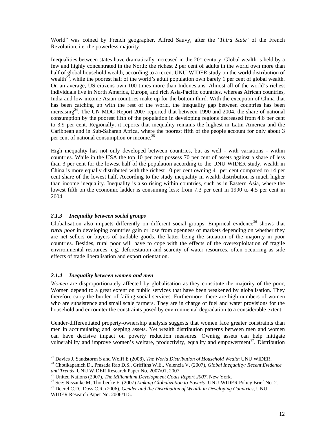World" was coined by French geographer, Alfred Sauvy, after the '*Third State'* of the French Revolution, i.e. the powerless majority.

Inequalities between states have dramatically increased in the  $20<sup>th</sup>$  century. Global wealth is held by a few and highly concentrated in the North: the richest 2 per cent of adults in the world own more than half of global household wealth, according to a recent UNU-WIDER study on the world distribution of wealth<sup>23</sup>, while the poorest half of the world's adult population own barely 1 per cent of global wealth. On an average, US citizens own 100 times more than Indonesians. Almost all of the world's richest individuals live in North America, Europe, and rich Asia-Pacific countries, whereas African countries, India and low-income Asian countries make up for the bottom third. With the exception of China that has been catching up with the rest of the world, the inequality gap between countries has been increasing<sup>24</sup>. The UN MDG Report 2007 reported that between 1990 and 2004, the share of national consumption by the poorest fifth of the population in developing regions decreased from 4.6 per cent to 3.9 per cent. Regionally, it reports that inequality remains the highest in Latin America and the Caribbean and in Sub-Saharan Africa, where the poorest fifth of the people account for only about 3 per cent of national consumption or income.<sup>25</sup>

High inequality has not only developed between countries, but as well - with variations - within countries. While in the USA the top 10 per cent possess 70 per cent of assets against a share of less than 3 per cent for the lowest half of the population according to the UNU WIDER study, wealth in China is more equally distributed with the richest 10 per cent owning 41 per cent compared to 14 per cent share of the lowest half. According to the study inequality in wealth distribution is much higher than income inequality. Inequality is also rising within countries, such as in Eastern Asia, where the lowest fifth on the economic ladder is consuming less: from 7.3 per cent in 1990 to 4.5 per cent in 2004.

## *2.1.3 Inequality between social groups*

Globalisation also impacts differently on different social groups. Empirical evidence<sup>26</sup> shows that *rural poor* in developing countries gain or lose from openness of markets depending on whether they are net sellers or buyers of tradable goods, the latter being the situation of the majority in poor countries. Besides, rural poor will have to cope with the effects of the overexploitation of fragile environmental resources, e.g. deforestation and scarcity of water resources, often occurring as side effects of trade liberalisation and export orientation.

#### *2.1.4 Inequality between women and men*

 $\ddot{\phantom{a}}$ 

*Women* are disproportionately affected by globalisation as they constitute the majority of the poor, Women depend to a great extent on public services that have been weakened by globalisation. They therefore carry the burden of failing social services. Furthermore, there are high numbers of women who are subsistence and small scale farmers. They are in charge of fuel and water provisions for the household and encounter the constraints posed by environmental degradation to a considerable extent.

Gender-differentiated property-ownership analysis suggests that women face greater constraints than men in accumulating and keeping assets. Yet wealth distribution patterns between men and women can have decisive impact on poverty reduction measures. Owning assets can help mitigate vulnerability and improve women's welfare, productivity, equality and empowerment<sup>27</sup>. Distribution

<sup>23</sup> Davies J, Sandstorm S and Wolff E (2008), *The World Distribution of Household Wealth* UNU WIDER.

<sup>24</sup> Chotikapanich D., Prasada Rao D.S., Griffiths W.E., Valencia V. (2007), *Global Inequality: Recent Evidence and Trends*, UNU WIDER Research Paper No. 2007/01, 2007.

<sup>&</sup>lt;sup>5</sup> United Nations (2007), *The Millennium Development Goals Report 2007*, New York.

<sup>26</sup> See: Nissanke M, Thorbecke E. (2007) *Linking Globalization to Poverty*, UNU-WIDER Policy Brief No. 2.

<sup>&</sup>lt;sup>27</sup> Deerel C.D., Doss C.R. (2006), *Gender and the Distribution of Wealth in Developing Countries*, UNU WIDER Research Paper No. 2006/115.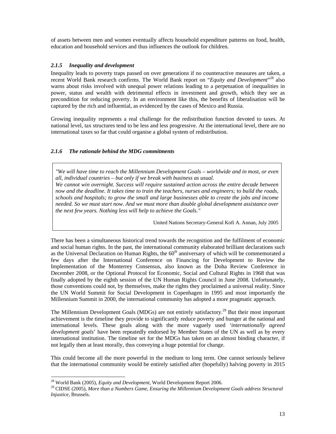of assets between men and women eventually affects household expenditure patterns on food, health, education and household services and thus influences the outlook for children.

## *2.1.5 Inequality and development*

Inequality leads to poverty traps passed on over generation*s* if no counteractive measures are taken, a recent World Bank research confirms. The World Bank report on "Equity and Development"<sup>28</sup> also warns about risks involved with unequal power relations leading to a perpetuation of inequalities in power, status and wealth with detrimental effects in investment and growth, which they see as precondition for reducing poverty. In an environment like this, the benefits of liberalisation will be captured by the rich and influential, as evidenced by the cases of Mexico and Russia.

Growing inequality represents a real challenge for the redistribution function devoted to taxes. At national level, tax structures tend to be less and less progressive. At the international level, there are no international taxes so far that could organise a global system of redistribution.

## *2.1.6 The rationale behind the MDG commitments*

*"We will have time to reach the Millennium Development Goals – worldwide and in most, or even all, individual countries – but only if we break with business as usual.* 

*We cannot win overnight. Success will require sustained action across the entire decade between now and the deadline. It takes time to train the teachers, nurses and engineers; to build the roads, schools and hospitals; to grow the small and large businesses able to create the jobs and income needed. So we must start now. And we must more than double global development assistance over the next few years. Nothing less will help to achieve the Goals."* 

United Nations Secretary-General Kofi A. Annan, July 2005

There has been a simultaneous historical trend towards the recognition and the fulfilment of economic and social human rights. In the past, the international community elaborated brilliant declarations such as the Universal Declaration on Human Rights, the  $60<sup>th</sup>$  anniversary of which will be commemorated a few days after the International Conference on Financing for Development to Review the Implementation of the Monterrey Consensus, also known as the Doha Review Conference in December 2008, or the Optional Protocol for Economic, Social and Cultural Rights in 1968 that was finally adopted by the eighth session of the UN Human Rights Council in June 2008. Unfortunately, those conventions could not, by themselves, make the rights they proclaimed a universal reality. Since the UN World Summit for Social Development in Copenhagen in 1995 and most importantly the Millennium Summit in 2000, the international community has adopted a more pragmatic approach.

The Millennium Development Goals (MDGs) are not entirely satisfactory.<sup>29</sup> But their most important achievement is the timeline they provide to significantly reduce poverty and hunger at the national and international levels. These goals along with the more vaguely used *'internationally agreed development goals*' have been repeatedly endorsed by Member States of the UN as well as by every international institution. The timeline set for the MDGs has taken on an almost binding character, if not legally then at least morally, thus conveying a huge potential for change.

This could become all the more powerful in the medium to long term. One cannot seriously believe that the international community would be entirely satisfied after (hopefully) halving poverty in 2015

 $\overline{a}$ 

<sup>28</sup> World Bank (2005), *Equity and Development,* World Development Report 2006.

<sup>&</sup>lt;sup>29</sup> CIDSE (2005), More than a Numbers Game, Ensuring the Millennium Development Goals address Structural *Injustice,* Brussels.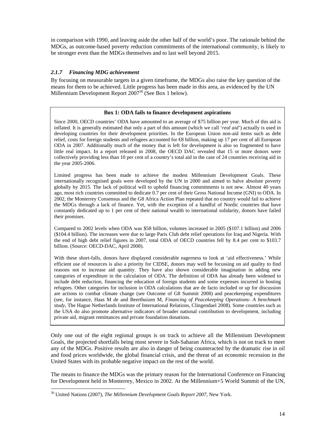in comparison with 1990, and leaving aside the other half of the world's poor. The rationale behind the MDGs, as outcome-based poverty reduction commitments of the international community, is likely to be stronger even than the MDGs themselves and to last well beyond 2015.

## *2.1.7 Financing MDG achievement*

By focusing on measurable targets in a given timeframe, the MDGs also raise the key question of the means for them to be achieved. Little progress has been made in this area, as evidenced by the UN Millennium Development Report 2007<sup>30</sup> (See Box 1 below).

## **Box 1: ODA fails to finance development aspirations**

Since 2000, OECD countries' ODA have amounted to an average of \$75 billion per year. Much of this aid is inflated. It is generally estimated that only a part of this amount (which we call '*real aid*') actually is used in developing countries for their development priorities. In the European Union non-aid items such as debt relief, costs for foreign students and refugees accounted for €8 billion, making up 17 per cent of all European ODA in 2007. Additionally much of the money that is left for development is also so fragmented to have little real impact. In a report released in 2008, the OECD DAC revealed that 15 or more donors were collectively providing less than 10 per cent of a country's total aid in the case of 24 countries receiving aid in the year 2005-2006.

Limited progress has been made to achieve the modest Millennium Development Goals. These internationally recognised goals were developed by the UN in 2000 and aimed to halve absolute poverty globally by 2015. The lack of political will to uphold financing commitments is not new. Almost 40 years ago, most rich countries committed to dedicate 0.7 per cent of their Gross National Income (GNI) to ODA. In 2002, the Monterrey Consensus and the G8 Africa Action Plan repeated that no country would fail to achieve the MDGs through a lack of finance. Yet, with the exception of a handful of Nordic countries that have constantly dedicated up to 1 per cent of their national wealth to international solidarity, donors have failed their promises.

Compared to 2002 levels when ODA was \$58 billion, volumes increased in 2005 (\$107.1 billion) and 2006 (\$104.4 billion). The increases were due to large Paris Club debt relief operations for Iraq and Nigeria. With the end of high debt relief figures in 2007, total ODA of OECD countries fell by 8.4 per cent to \$103.7 billion. (Source: OECD-DAC, April 2008).

With these short-falls, donors have displayed considerable eagerness to look at 'aid effectiveness.' While efficient use of resources is also a priority for CIDSE, donors may well be focussing on aid quality to find reasons not to increase aid quantity. They have also shown considerable imagination in adding new categories of expenditure in the calculation of ODA. The definition of ODA has already been widened to include debt reduction, financing the education of foreign students and some expenses incurred in hosting refugees. Other categories for inclusion in ODA calculations that are de facto included or up for discussion are actions to combat climate change (see Outcome of G8 Summit 2008) and peacekeeping expenditures (see, for instance, Haas M de and Beerthuizen M, *Financing of Peacekeeping Operations- A benchmark study*, The Hague Netherlands Institute of International Relations, Clingendael 2008). Some countries such as the USA do also promote alternative indicators of broader national contribution to development, including private aid, migrant remittances and private foundation donations.

Only one out of the eight regional groups is on track to achieve all the Millennium Development Goals, the projected shortfalls being most severe in Sub-Saharan Africa, which is not on track to meet any of the MDGs. Positive results are also in danger of being counteracted by the dramatic rise in oil and food prices worldwide, the global financial crisis, and the threat of an economic recession in the United States with its probable negative impact on the rest of the world.

The means to finance the MDGs was the primary reason for the International Conference on Financing for Development held in Monterrey, Mexico in 2002. At the Millennium+5 World Summit of the UN,

 $\overline{a}$ <sup>30</sup> United Nations (2007), *The Millennium Development Goals Report 2007*, New York.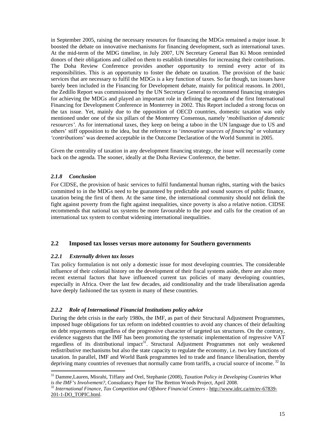in September 2005, raising the necessary resources for financing the MDGs remained a major issue. It boosted the debate on innovative mechanisms for financing development, such as international taxes. At the mid-term of the MDG timeline, in July 2007, UN Secretary General Ban Ki Moon reminded donors of their obligations and called on them to establish timetables for increasing their contributions. The Doha Review Conference provides another opportunity to remind every actor of its responsibilities. This is an opportunity to foster the debate on taxation. The provision of the basic services that are necessary to fulfil the MDGs is a key function of taxes. So far though, tax issues have barely been included in the Financing for Development debate, mainly for political reasons. In 2001, the Zedillo Report was commissioned by the UN Secretary General to recommend financing strategies for achieving the MDGs and played an important role in defining the agenda of the first International Financing for Development Conference in Monterrey in 2002. This Report included a strong focus on the tax issue. Yet, mainly due to the opposition of OECD countries, domestic taxation was only mentioned under one of the six pillars of the Monterrey Consensus, namely '*mobilisation of domestic resources'*. As for international taxes, they keep on being a taboo in the UN language due to US and others' stiff opposition to the idea, but the reference to '*innovative sources of financing'* or voluntary *'contributions*' was deemed acceptable in the Outcome Declaration of the World Summit in 2005.

Given the centrality of taxation in any development financing strategy, the issue will necessarily come back on the agenda. The sooner, ideally at the Doha Review Conference, the better.

## *2.1.8 Conclusion*

For CIDSE, the provision of basic services to fulfil fundamental human rights, starting with the basics committed to in the MDGs need to be guaranteed by predictable and sound sources of public finance, taxation being the first of them. At the same time, the international community should not delink the fight against poverty from the fight against inequalities, since poverty is also a relative notion. CIDSE recommends that national tax systems be more favourable to the poor and calls for the creation of an international tax system to combat widening international inequalities.

#### **2.2 Imposed tax losses versus more autonomy for Southern governments**

#### *2.2.1 Externally driven tax losses*

Tax policy formulation is not only a domestic issue for most developing countries. The considerable influence of their colonial history on the development of their fiscal systems aside, there are also more recent external factors that have influenced current tax policies of many developing countries, especially in Africa. Over the last few decades, aid conditionality and the trade liberalisation agenda have deeply fashioned the tax system in many of these countries.

#### *2.2.2 Role of International Financial Institutions policy advice*

During the debt crisis in the early 1980s, the IMF, as part of their Structural Adjustment Programmes, imposed huge obligations for tax reform on indebted countries to avoid any chances of their defaulting on debt repayments regardless of the progressive character of targeted tax structures. On the contrary, evidence suggests that the IMF has been promoting the systematic implementation of regressive VAT regardless of its distributional impact<sup>31</sup>. Structural Adjustment Programmes not only weakened redistributive mechanisms but also the state capacity to regulate the economy, i.e. two key functions of taxation. In parallel, IMF and World Bank programmes led to trade and finance liberalisation, thereby depriving many countries of revenues that normally came from tariffs, a crucial source of income.<sup>32</sup> In

 $\overline{a}$ <sup>31</sup> Damme,Lauren, Misrahi, Tiffany and Orel, Stephanie (2008), *Taxation Policy in Developing Countries What is the IMF's Involvement?*, Consultancy Paper for The Bretton Woods Project, April 2008.

<sup>32</sup> *International Finance, Tax Competition and Offshore Financial Centers* - http://www.idrc.ca/en/ev-67839- 201-1-DO\_TOPIC.html.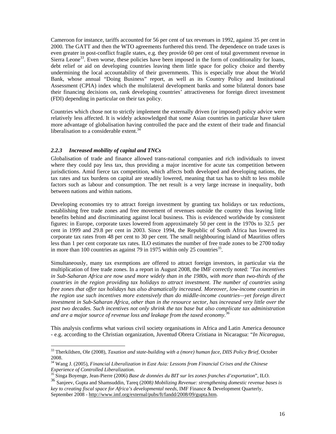Cameroon for instance, tariffs accounted for 56 per cent of tax revenues in 1992, against 35 per cent in 2000. The GATT and then the WTO agreements furthered this trend. The dependence on trade taxes is even greater in post-conflict fragile states, e.g. they provide 60 per cent of total government revenue in Sierra Leone<sup>33</sup>. Even worse, these policies have been imposed in the form of conditionality for loans, debt relief or aid on developing countries leaving them little space for policy choice and thereby undermining the local accountability of their governments. This is especially true about the World Bank, whose annual "Doing Business" report, as well as its Country Policy and Institutional Assessment (CPIA) index which the multilateral development banks and some bilateral donors base their financing decisions on, rank developing countries' attractiveness for foreign direct investment (FDI) depending in particular on their tax policy.

Countries which chose not to strictly implement the externally driven (or imposed) policy advice were relatively less affected. It is widely acknowledged that some Asian countries in particular have taken more advantage of globalisation having controlled the pace and the extent of their trade and financial liberalisation to a considerable extent. $34$ 

## *2.2.3 Increased mobility of capital and TNCs*

 $\overline{a}$ 

Globalisation of trade and finance allowed trans-national companies and rich individuals to invest where they could pay less tax, thus providing a major incentive for acute tax competition between jurisdictions. Amid fierce tax competition, which affects both developed and developing nations, the tax rates and tax burdens on capital are steadily lowered, meaning that tax has to shift to less mobile factors such as labour and consumption. The net result is a very large increase in inequality, both between nations and within nations.

Developing economies try to attract foreign investment by granting tax holidays or tax reductions, establishing free trade zones and free movement of revenues outside the country thus leaving little benefits behind and discriminating against local business. This is evidenced worldwide by consistent figures: in Europe, corporate taxes lowered from approximately 50 per cent in the 1970s to 32.5 per cent in 1999 and 29.8 per cent in 2003. Since 1994, the Republic of South Africa has lowered its corporate tax rates from 48 per cent to 30 per cent. The small neighbouring island of Mauritius offers less than 1 per cent corporate tax rates. ILO estimates the number of free trade zones to be 2700 today in more than 100 countries as against 79 in 1975 within only 25 countries<sup>35</sup>.

Simultaneously, many tax exemptions are offered to attract foreign investors, in particular via the multiplication of free trade zones. In a report in August 2008, the IMF correctly noted: *"Tax incentives in Sub-Saharan Africa are now used more widely than in the 1980s, with more than two-thirds of the countries in the region providing tax holidays to attract investment. The number of countries using free zones that offer tax holidays has also dramatically increased. Moreover, low-income countries in the region use such incentives more extensively than do middle-income countries—yet foreign direct investment in Sub-Saharan Africa, other than in the resource sector, has increased very little over the past two decades. Such incentives not only shrink the tax base but also complicate tax administration and are a major source of revenue loss and leakage from the taxed economy.<sup>36</sup>*

This analysis confirms what various civil society organisations in Africa and Latin America denounce - e.g. according to the Christian organization, Juventud Obrera Cristiana in Nicaragua: "*In Nicaragua,* 

<sup>33</sup> Therkildsen, Ole (2008), *Taxation and state-building with a (more) human face*, *DIIS Policy Brief*, October 2008.

<sup>34</sup> Wang J. (2005), *Financial Liberalization in East Asia: Lessons from Financial Crises and the Chinese Experience of Controlled Liberalization*.

<sup>35</sup> Singa Boyenge, Jean-Pierre (2006) *Base de données du BIT sur les zones franches d'exportation*", ILO.

<sup>36</sup> Sanjeev, Gupta and Shamsuddin, Tareq (2008*) Mobilizing Revenue: strengthening domestic revenue bases is key to creating fiscal space for Africa's developmental needs*, IMF Finance & Development Quarterly, September 2008 - http://www.imf.org/external/pubs/ft/fandd/2008/09/gupta.htm.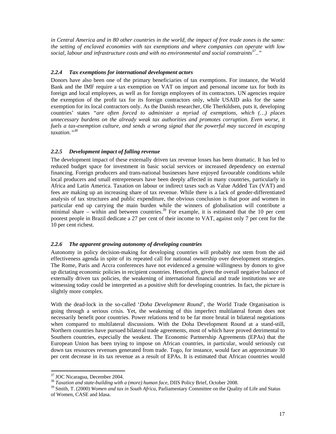*in Central America and in 80 other countries in the world, the impact of free trade zones is the same: the setting of enclaved economies with tax exemptions and where companies can operate with low social, labour and infrastructure costs and with no environmental and social constraints<sup>37</sup>.."*

#### *2.2.4 Tax exemptions for international development actors*

Donors have also been one of the primary beneficiaries of tax exemptions. For instance, the World Bank and the IMF require a tax exemption on VAT on import and personal income tax for both its foreign and local employees, as well as for foreign employees of its contractors. UN agencies require the exemption of the profit tax for its foreign contractors only, while USAID asks for the same exemption for its local contractors only. As the Danish researcher, Ole Therkildsen, puts it, developing countries' states *"are often forced to administer a myriad of exemptions, which (…) places unnecessary burdens on the already weak tax authorities and promotes corruption. Even worse, it fuels a tax-exemption culture, and sends a wrong signal that the powerful may succeed in escaping taxation."<sup>38</sup>*

## *2.2.5 Development impact of falling revenue*

The development impact of these externally driven tax revenue losses has been dramatic. It has led to reduced budget space for investment in basic social services or increased dependency on external financing. Foreign producers and trans-national businesses have enjoyed favourable conditions while local producers and small entrepreneurs have been deeply affected in many countries, particularly in Africa and Latin America. Taxation on labour or indirect taxes such as Value Added Tax (VAT) and fees are making up an increasing share of tax revenue. While there is a lack of gender-differentiated analysis of tax structures and public expenditure, the obvious conclusion is that poor and women in particular end up carrying the main burden while the winners of globalisation will contribute a minimal share – within and between countries.<sup>39</sup> For example, it is estimated that the 10 per cent poorest people in Brazil dedicate a 27 per cent of their income to VAT, against only 7 per cent for the 10 per cent richest.

## *2.2.6 The apparent growing autonomy of developing countries*

Autonomy in policy decision-making for developing countries will probably not stem from the aid effectiveness agenda in spite of its repeated call for national ownership over development strategies. The Rome, Paris and Accra conferences have not evidenced a genuine willingness by donors to give up dictating economic policies in recipient countries. Henceforth, given the overall negative balance of externally driven tax policies, the weakening of international financial and trade institutions we are witnessing today could be interpreted as a positive shift for developing countries. In fact, the picture is slightly more complex.

With the dead-lock in the so-called '*Doha Development Round*'*,* the World Trade Organisation is going through a serious crisis. Yet, the weakening of this imperfect multilateral forum does not necessarily benefit poor countries. Power relations tend to be far more brutal in bilateral negotiations when compared to multilateral discussions. With the Doha Development Round at a stand-still, Northern countries have pursued bilateral trade agreements, most of which have proved detrimental to Southern countries, especially the weakest. The Economic Partnership Agreements (EPAs) that the European Union has been trying to impose on African countries, in particular, would seriously cut down tax resources revenues generated from trade. Togo, for instance, would face an approximate 30 per cent decrease in its tax revenue as a result of EPAs. It is estimated that African countries would

 $\overline{a}$ 

<sup>&</sup>lt;sup>37</sup> JOC Nicaragua, December 2004.

<sup>38</sup> *Taxation and state-building with a (more) human face*, DIIS Policy Brief, October 2008.

<sup>39</sup> Smith, T. (2000) *Women and tax in South Africa,* Parliamentary Committee on the Quality of Life and Status of Women, CASE and Idasa.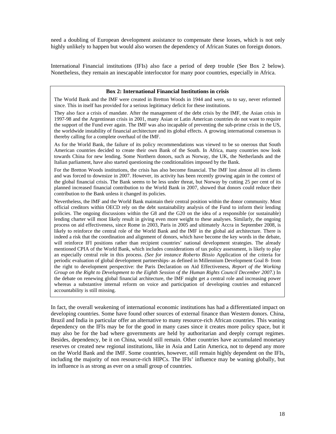need a doubling of European development assistance to compensate these losses, which is not only highly unlikely to happen but would also worsen the dependency of African States on foreign donors.

International Financial institutions (IFIs) also face a period of deep trouble (See Box 2 below). Nonetheless, they remain an inescapable interlocutor for many poor countries, especially in Africa.

#### **Box 2: International Financial Institutions in crisis**

The World Bank and the IMF were created in Bretton Woods in 1944 and were, so to say, never reformed since. This in itself has provided for a serious legitimacy deficit for these institutions.

They also face a crisis of mandate. After the management of the debt crisis by the IMF, the Asian crisis in 1997-98 and the Argentinean crisis in 2001, many Asian or Latin American countries do not want to require the support of the Fund ever again. The IMF was also incapable of preventing the sub-prime crisis in the US, the worldwide instability of financial architecture and its global effects. A growing international consensus is thereby calling for a complete overhaul of the IMF.

As for the World Bank, the failure of its policy recommendations was viewed to be so onerous that South American countries decided to create their own Bank of the South. In Africa, many countries now look towards China for new lending. Some Northern donors, such as Norway, the UK, the Netherlands and the Italian parliament, have also started questioning the conditionalities imposed by the Bank.

For the Bretton Woods institutions, the crisis has also become financial. The IMF lost almost all its clients and was forced to downsize in 2007. However, its activity has been recently growing again in the context of the global financial crisis. The Bank seems to be less under threat, but Norway by cutting 25 per cent of its planned increased financial contribution to the World Bank in 2007, showed that donors could reduce their contribution to the Bank unless it changed its policies.

Nevertheless, the IMF and the World Bank maintain their central position within the donor community. Most official creditors within OECD rely on the debt sustainability analysis of the Fund to inform their lending policies. The ongoing discussions within the G8 and the G20 on the idea of a responsible (or sustainable) lending charter will most likely result in giving even more weight to these analyses. Similarly, the ongoing process on aid effectiveness, since Rome in 2003, Paris in 2005 and ultimately Accra in September 2008, is likely to reinforce the central role of the World Bank and the IMF in the global aid architecture. There is indeed a risk that the coordination and alignment of donors, which have become the key words in the debate, will reinforce IFI positions rather than recipient countries' national development strategies. The already mentioned CPIA of the World Bank, which includes considerations of tax policy assessment, is likely to play an especially central role in this process. *(See for instance Roberto Bissio* Application of the criteria for periodic evaluation of global development partnerships- as defined in Millennium Development Goal 8- from the right to development perspective: the Paris Declaration on Aid Effectiveness, *Report of the Working Group on the Right to Development to the Eighth Session of the Human Rights Council December 2007.*) In the debate on renewing global financial architecture, the IMF might get a central role and increasing power whereas a substantive internal reform on voice and participation of developing coutries and enhanced accountability is still missing.

In fact, the overall weakening of international economic institutions has had a differentiated impact on developing countries. Some have found other sources of external finance than Western donors. China, Brazil and India in particular offer an alternative to many resource-rich African countries. This waning dependency on the IFIs may be for the good in many cases since it creates more policy space, but it may also be for the bad where governments are held by authoritarian and deeply corrupt regimes. Besides, dependency, be it on China, would still remain. Other countries have accumulated monetary reserves or created new regional institutions, like in Asia and Latin America, not to depend any more on the World Bank and the IMF. Some countries, however, still remain highly dependent on the IFIs, including the majority of non resource-rich HIPCs. The IFIs' influence may be waning globally, but its influence is as strong as ever on a small group of countries.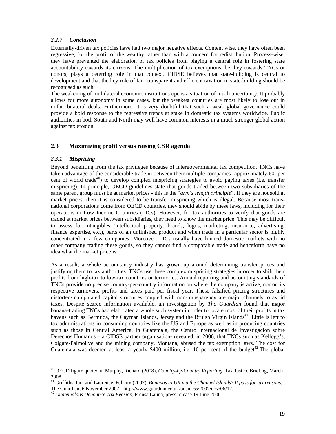## *2.2.7 Conclusion*

Externally-driven tax policies have had two major negative effects. Content wise, they have often been regressive, for the profit of the wealthy rather than with a concern for redistribution. Process-wise, they have prevented the elaboration of tax policies from playing a central role in fostering state accountability towards its citizens. The multiplication of tax exemptions, be they towards TNCs or donors, plays a deterring role in that context. CIDSE believes that state-building is central to development and that the key role of fair, transparent and efficient taxation in state-building should be recognised as such.

The weakening of multilateral economic institutions opens a situation of much uncertainty. It probably allows for more autonomy in some cases, but the weakest countries are most likely to lose out in unfair bilateral deals. Furthermore, it is very doubtful that such a weak global governance could provide a bold response to the regressive trends at stake in domestic tax systems worldwide. Public authorities in both South and North may well have common interests in a much stronger global action against tax erosion.

## **2.3 Maximizing profit versus raising CSR agenda**

## *2.3.1 Mispricing*

 $\overline{a}$ 

Beyond benefiting from the tax privileges because of intergovernmental tax competition, TNCs have taken advantage of the considerable trade in between their multiple companies (approximately 60 per cent of world trade<sup>40</sup>) to develop complex mispricing strategies to avoid paying taxes (i.e. transfer mispricing). In principle, OECD guidelines state that goods traded between two subsidiaries of the same parent group must be at market prices - this is the "*arm's length principle*". If they are not sold at market prices, then it is considered to be transfer mispricing which is illegal. Because most transnational corporations come from OECD countries, they should abide by these laws, including for their operations in Low Income Countries (LICs). However, for tax authorities to verify that goods are traded at market prices between subsidiaries, they need to know the market price. This may be difficult to assess for intangibles (intellectual property, brands, logos, marketing, insurance, advertising, finance expertise, etc.), parts of an unfinished product and when trade in a particular sector is highly concentrated in a few companies. Moreover, LICs usually have limited domestic markets with no other company trading these goods, so they cannot find a comparable trade and henceforth have no idea what the market price is.

As a result, a whole accountancy industry has grown up around determining transfer prices and justifying them to tax authorities. TNCs use these complex mispricing strategies in order to shift their profits from high-tax to low-tax countries or territories. Annual reporting and accounting standards of TNCs provide no precise country-per-country information on where the company is active, nor on its respective turnovers, profits and taxes paid per fiscal year. These falsified pricing structures and distorted/manipulated capital structures coupled with non-transparency are major channels to avoid taxes. Despite scarce information available, an investigation by *The Guardian* found that major banana-trading TNCs had elaborated a whole such system in order to locate most of their profits in tax havens such as Bermuda, the Cayman Islands, Jersey and the British Virgin Islands<sup>41</sup>. Little is left to tax administrations in consuming countries like the US and Europe as well as in producing countries such as those in Central America. In Guatemala, the Centro Internacional de Investigacion sobre Derechos Humanos – a CIDSE partner organisation- revealed, in 2006, that TNCs such as Kellogg's, Colgate-Palmolive and the mining company, Montana, abused the tax exemption laws. The cost for Guatemala was deemed at least a yearly \$400 million, i.e. 10 per cent of the budget<sup>42</sup>. The global

<sup>40</sup> OECD figure quoted in Murphy, Richard (2008), *Country-by-Country Reporting*, Tax Justice Briefing, March 2008.

<sup>41</sup> Griffiths, Ian, and Laurence, Felicity (2007), *Bananas to UK via the Channel Islands? It pays for tax reasons*,

The Guardian, 6 November 2007 - http://www.guardian.co.uk/business/2007/nov/06/12.

<sup>42</sup> *Guatemalans Denounce Tax Evasion*, Prensa Latina, press release 19 June 2006.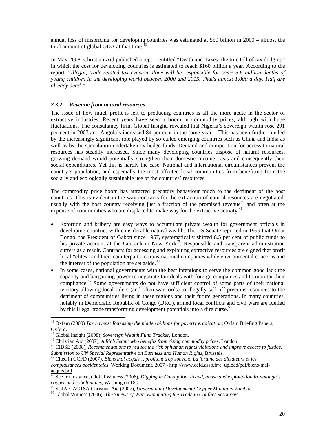annual loss of mispricing for developing countries was estimated at \$50 billion in 2000 – almost the total amount of global ODA at that time.<sup>4</sup>

In May 2008, Christian Aid published a report entitled "Death and Taxes: the true toll of tax dodging" in which the cost for developing countries is estimated to reach \$160 billion a year. According to the report: "*Illegal, trade-related tax evasion alone will be responsible for some 5.6 million deaths of young children in the developing world between 2000 and 2015. That's almost 1,000 a day. Half are already dead."* 

## *2.3.2 Revenue from natural resources*

The issue of how much profit is left to producing countries is all the more acute in the sector of extractive industries. Recent years have seen a boom in commodity prices, although with huge fluctuations. The consultancy firm, Global Insight, revealed that Nigeria's sovereign wealth rose 291 per cent in 2007 and Angola's increased 84 per cent in the same year.<sup>44</sup> This has been further fuelled by the increasingly significant role played by so-called emerging countries such as China and India as well as by the speculation undertaken by hedge funds. Demand and competition for access to natural resources has steadily increased. Since many developing countries dispose of natural resources, growing demand would potentially strengthen their domestic income basis and consequently their social expenditures. Yet this is hardly the case. National and international circumstances prevent the country's population, and especially the most affected local communities from benefiting from the socially and ecologically sustainable use of the countries' resources.

The commodity price boom has attracted predatory behaviour much to the detriment of the host countries. This is evident in the way contracts for the extraction of natural resources are negotiated, usually with the host country receiving just a fraction of the promised revenue<sup>45</sup> and often at the expense of communities who are displaced to make way for the extractive activity.<sup>46</sup>

- Extortion and bribery are easy ways to accumulate private wealth for government officials in developing countries with considerable natural wealth. The US Senate reported in 1999 that Omar Bongo, the President of Gabon since 1967, systematically shifted 8.5 per cent of public funds to his private account at the Citibank in New York<sup>47</sup>. Responsible and transparent administration suffers as a result. Contracts for accessing and exploiting extractive resources are signed that profit local "elites" and their counterparts in trans-national companies while environmental concerns and the interest of the population are set aside. $48$
- In some cases, national governments with the best intentions to serve the common good lack the capacity and bargaining power to negotiate fair deals with foreign companies and to monitor their compliance.<sup>49</sup> Some governments do not have sufficient control of some parts of their national territory allowing local rulers (and often war-lords) to illegally sell off precious resources to the detriment of communities living in these regions and their future generations. In many countries, notably in Democratic Republic of Congo (DRC), armed local conflicts and civil wars are fuelled by this illegal trade transforming development potentials into a dire curse.<sup>50</sup>

 $\overline{a}$ <sup>43</sup> Oxfam (2000) *Tax havens: Releasing the hidden billions for poverty eradication*, Oxfam Briefing Papers, Oxford.

<sup>44</sup> Global Insight (2008), *Sovereign Wealth Fund Tracker,* London.

<sup>45</sup> Christian Aid (2007), *A Rich Seam: who benefits from rising commodity prices,* London.

<sup>46</sup> CIDSE (2008), *Recommendations to reduce the risk of human rights violations and improve access to justice. Submission to UN Special Representative on Business and Human Rights,* Brussels.

<sup>47</sup> Cited in CCFD (2007), *Biens mal acquis… profitent trop souvent. La fortune des dictateurs et les complaisances occidentales*, Working Document, 2007 - http://www.ccfd.asso.fr/e\_upload/pdf/biens-malacquis.pdf.

<sup>48</sup> See for instance, Global Witness (2006), *Digging in Corruption, Fraud, abuse and exploitation in Katanga's copper and cobalt mines,* Washington DC.

<sup>49</sup> SCIAF, ACTSA Christian Aid (2007), *Undermining Development? Copper Mining in Zambia*.

<sup>50</sup> Global Witness (2006), *The Sinews of War: Eliminating the Trade in Conflict Resources*.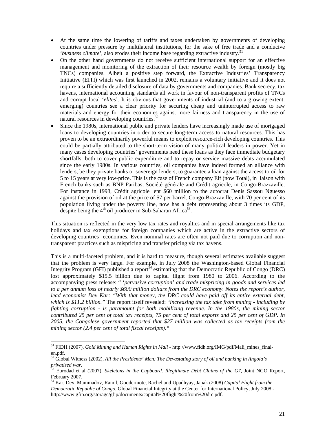- At the same time the lowering of tariffs and taxes undertaken by governments of developing countries under pressure by multilateral institutions, for the sake of free trade and a conducive '*business climate'*, also erodes their income base regarding extractive industry.<sup>51</sup>
- On the other hand governments do not receive sufficient international support for an effective management and monitoring of the extraction of their resource wealth by foreign (mostly big TNCs) companies. Albeit a positive step forward, the Extractive Industries' Transparency Initiative (EITI) which was first launched in 2002, remains a voluntary initiative and it does not require a sufficiently detailed disclosure of data by governments and companies. Bank secrecy, tax havens, international accounting standards all work in favour of non-transparent profits of TNCs and corrupt local '*elites*'. It is obvious that governments of industrial (and to a growing extent: emerging) countries see a clear priority for securing cheap and uninterrupted access to raw materials and energy for their economies against more fairness and transparency in the use of natural resources in developing countries.<sup>52</sup>
- Since the 1980s, international public and private lenders have increasingly made use of mortgaged loans to developing countries in order to secure long-term access to natural resources. This has proven to be an extraordinarily powerful means to exploit resource-rich developing countries. This could be partially attributed to the short-term vision of many political leaders in power. Yet in many cases developing countries' governments need these loans as they face immediate budgetary shortfalls, both to cover public expenditure and to repay or service massive debts accumulated since the early 1980s. In various countries, oil companies have indeed formed an alliance with lenders, be they private banks or sovereign lenders, to guarantee a loan against the access to oil for 5 to 15 years at very low-price. This is the case of French company Elf (now Total), in liaison with French banks such as BNP Paribas, Société générale and Crédit agricole, in Congo-Brazzaville. For instance in 1998, Crédit agricole lent \$60 million to the autocrat Denis Sassou Nguesso against the provision of oil at the price of \$7 per barrel. Congo-Brazzaville, with 70 per cent of its population living under the poverty line, now has a debt representing about 3 times its GDP, despite being the  $4<sup>th</sup>$  oil producer in Sub-Saharan Africa<sup>53</sup>.

This situation is reflected in the very low tax rates and royalties and in special arrangements like tax holidays and tax exemptions for foreign companies which are active in the extractive sectors of developing countries' economies. Even nominal rates are often not paid due to corruption and nontransparent practices such as mispricing and transfer pricing via tax havens.

This is a multi-faceted problem, and it is hard to measure, though several estimates available suggest that the problem is very large. For example, in July 2008 the Washington-based Global Financial Integrity Program (GFI) published a report<sup>54</sup> estimating that the Democratic Republic of Congo (DRC) lost approximately \$15.5 billion due to capital flight from 1980 to 2006. According to the accompanying press release: " '*pervasive corruption' and trade mispricing in goods and services led to a per annum loss of nearly \$600 million dollars from the DRC economy. Notes the report's author, lead economist Dev Kar: "With that money, the DRC could have paid off its entire external debt, which is \$11.2 billion."* The report itself revealed: "*increasing the tax take from mining - including by fighting corruption - is paramount for both mobilizing revenue. In the 1980s, the mining sector contributed 25 per cent of total tax receipts, 75 per cent of total exports and 25 per cent of GDP. In 2005, the Congolese government reported that \$27 million was collected as tax receipts from the mining sector (2.4 per cent of total fiscal receipts)."* 

 $\overline{a}$ <sup>51</sup> FIDH (2007), *Gold Mining and Human Rights in Mali -* http://www.fidh.org/IMG/pdf/Mali\_mines\_finalen.pdf.

<sup>52</sup> Global Witness (2002), *All the Presidents' Men: The Devastating story of oil and banking in Angola's privatised war*.

<sup>53</sup> Eurodad et al (2007), *Skeletons in the Cupboard. Illegitimate Debt Claims of the G7*, Joint NGO Report, February 2007.

<sup>54</sup> Kar, Dev, Mammadov, Ramil, Goodermote, Rachel and Upadhyay, Janak (2008) *Capital Flight from the Democratic Republic of Congo*, Global Financial Integrity at the Center for International Policy, July 2008 http://www.gfip.org/storage/gfip/documents/capital%20flight%20from%20drc.pdf.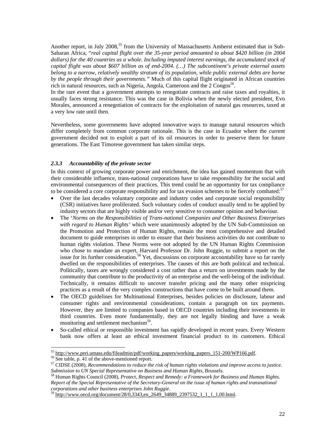Another report, in July 2008,<sup>55</sup> from the University of Massachusetts Amherst estimated that in Sub-Saharan Africa, "*real capital flight over the 35-year period amounted to about \$420 billion (in 2004 dollars) for the 40 countries as a whole. Including imputed interest earnings, the accumulated stock of capital flight was about \$607 billion as of end-2004. (…) The subcontinent's private external assets belong to a narrow, relatively wealthy stratum of its population, while public external debts are borne by the people through their governments."* Much of this capital flight originated in African countries rich in natural resources, such as Nigeria, Angola, Cameroon and the  $2 \text{ Congos}^{56}$ .

In the rare event that a government attempts to renegotiate contracts and raise taxes and royalties, it usually faces strong resistance. This was the case in Bolivia when the newly elected president, Evo Morales, announced a renegotiation of contracts for the exploitation of natural gas resources, taxed at a very low rate until then.

Nevertheless, some governments have adopted innovative ways to manage natural resources which differ completely from common corporate rationale. This is the case in Ecuador where the current government decided not to exploit a part of its oil resources in order to preserve them for future generations. The East Timorese government has taken similar steps.

## *2.3.3 Accountability of the private sector*

In this context of growing corporate power and enrichment, the idea has gained momentum that with their considerable influence, trans-national corporations have to take responsibility for the social and environmental consequences of their practices. This trend could be an opportunity for tax compliance to be considered a core corporate responsibility and for tax evasion schemes to be fiercely combated:<sup>57</sup>

- Over the last decades voluntary corporate and industry codes and corporate social responsibility (CSR) initiatives have proliferated. Such voluntary codes of conduct usually tend to be applied by industry sectors that are highly visible and/or very sensitive to consumer opinion and behaviour.
- The '*Norms on the Responsibilities of Trans-national Companies and Other Business Enterprises with regard to Human Rights'* which were unanimously adopted by the UN Sub-Commission on the Promotion and Protection of Human Rights, remain the most comprehensive and detailed document to guide enterprises in order to ensure that their business activities do not contribute to human rights violation. These Norms were not adopted by the UN Human Rights Commission who chose to mandate an expert, Harvard Professor Dr. John Ruggie, to submit a report on the issue for its further consideration.<sup>58</sup> Yet, discussions on corporate accountability have so far rarely dwelled on the responsibilities of enterprises. The causes of this are both political and technical. Politically, taxes are wrongly considered a cost rather than a return on investments made by the community that contribute to the productivity of an enterprise and the well-being of the individual. Technically, it remains difficult to uncover transfer pricing and the many other mispricing practices as a result of the very complex constructions that have come to be built around them.
- The OECD guidelines for Multinational Enterprises, besides policies on disclosure, labour and consumer rights and environmental considerations, contain a paragraph on tax payments. However, they are limited to companies based in OECD countries including their investments in third countries. Even more fundamentally, they are not legally binding and have a weak monitoring and settlement mechanism<sup>59</sup>.
- So-called ethical or responsible investment has rapidly developed in recent years. Every Western bank now offers at least an ethical investment financial product to its customers. Ethical

 $\overline{a}$ 

<sup>&</sup>lt;sup>55</sup> http://www.peri.umass.edu/fileadmin/pdf/working\_papers/working\_papers\_151-200/WP166.pdf.

<sup>&</sup>lt;sup>56</sup> See table, p. 41 of the above-mentioned report.

<sup>57</sup> CIDSE (2008), *Recommendations to reduce the risk of human rights violations and improve access to justice. Submission to UN Special Representative on Business and Human Rights,* Brussels.

<sup>58</sup> Human Rights Council (2008), *Protect, Respect and Remedy: a Framework for Business and Human Rights. Report of the Special Representative of the Secretary-General on the issue of human rights and transnational corporations and other business enterprises John Ruggie*.

<sup>59</sup> http://www.oecd.org/document/28/0,3343,en\_2649\_34889\_2397532\_1\_1\_1\_1,00.html.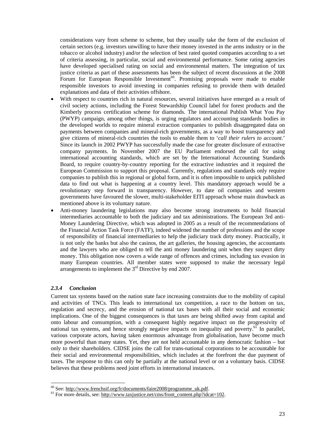considerations vary from scheme to scheme, but they usually take the form of the exclusion of certain sectors (e.g. investors unwilling to have their money invested in the arms industry or in the tobacco or alcohol industry) and/or the selection of best rated quoted companies according to a set of criteria assessing, in particular, social and environmental performance. Some rating agencies have developed specialised rating on social and environmental matters. The integration of tax justice criteria as part of these assessments has been the subject of recent discussions at the 2008 Forum for European Responsible Investment<sup>60</sup>. Promising proposals were made to enable responsible investors to avoid investing in companies refusing to provide them with detailed explanations and data of their activities offshore.

- With respect to countries rich in natural resources, several initiatives have emerged as a result of civil society actions, including the Forest Stewardship Council label for forest products and the Kimberly process certification scheme for diamonds. The international Publish What You Pay (PWYP) campaign, among other things, is urging regulators and accounting standards bodies in the developed worlds to require mineral extraction companies to publish disaggregated data on payments between companies and mineral-rich governments, as a way to boost transparency and give citizens of mineral-rich countries the tools to enable them to '*call their rulers to account*.' Since its launch in 2002 PWYP has successfully made the case for greater disclosure of extractive company payments. In November 2007 the EU Parliament endorsed the call for using international accounting standards, which are set by the International Accounting Standards Board, to require country-by-country reporting for the extractive industries and it required the European Commission to support this proposal. Currently, regulations and standards only require companies to publish this in regional or global form, and it is often impossible to unpick published data to find out what is happening at a country level. This mandatory approach would be a revolutionary step forward in transparency. However, to date oil companies and western governments have favoured the slower, multi-stakeholder EITI approach whose main drawback as mentioned above is its voluntary nature.
- Anti-money laundering legislations may also become strong instruments to hold financial intermediaries accountable to both the judiciary and tax administrations. The European 3rd anti-Money Laundering Directive, which was adopted in 2005 as a result of the recommendations of the Financial Action Task Force (FATF), indeed widened the number of professions and the scope of responsibility of financial intermediaries to help the judiciary track dirty money. Practically, it is not only the banks but also the casinos, the art galleries, the housing agencies, the accountants and the lawyers who are obliged to tell the anti money laundering unit when they suspect dirty money. This obligation now covers a wide range of offences and crimes, including tax evasion in many European countries. All member states were supposed to make the necessary legal arrangements to implement the 3rd Directive by end 2007.

#### *2.3.4 Conclusion*

 $\overline{a}$ 

Current tax systems based on the nation state face increasing constraints due to the mobility of capital and activities of TNCs. This leads to international tax competition, a race to the bottom on tax, regulation and secrecy, and the erosion of national tax bases with all their social and economic implications. One of the biggest consequences is that taxes are being shifted away from capital and onto labour and consumption, with a consequent highly negative impact on the progressivity of national tax systems, and hence strongly negative impacts on inequality and poverty.<sup>61</sup> In parallel, various corporate actors, having taken enormous advantage from globalisation, have become much more powerful than many states. Yet, they are not held accountable in any democratic fashion – but only to their shareholders. CIDSE joins the call for trans-national corporations to be accountable for their social and environmental responsibilities, which includes at the forefront the due payment of taxes. The response to this can only be partially at the national level or on a voluntary basis. CIDSE believes that these problems need joint efforts in international instances.

 $60$  See: http://www.frenchsif.org/fr/documents/faire2008/programme\_uk.pdf.

 $61$  For more details, see: http://www.taxjustice.net/cms/front\_content.php?idcat=102.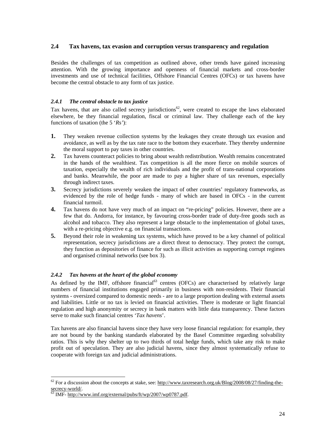## **2.4 Tax havens, tax evasion and corruption versus transparency and regulation**

Besides the challenges of tax competition as outlined above, other trends have gained increasing attention. With the growing importance and openness of financial markets and cross-border investments and use of technical facilities, Offshore Financial Centres (OFCs) or tax havens have become the central obstacle to any form of tax justice.

## *2.4.1 The central obstacle to tax justice*

Tax havens, that are also called secrecy jurisdictions<sup>62</sup>, were created to escape the laws elaborated elsewhere, be they financial regulation, fiscal or criminal law. They challenge each of the key functions of taxation (the 5 '*Rs'*):

- **1.** They weaken revenue collection systems by the leakages they create through tax evasion and avoidance, as well as by the tax rate race to the bottom they exacerbate. They thereby undermine the moral support to pay taxes in other countries.
- **2.** Tax havens counteract policies to bring about wealth redistribution. Wealth remains concentrated in the hands of the wealthiest. Tax competition is all the more fierce on mobile sources of taxation, especially the wealth of rich individuals and the profit of trans-national corporations and banks. Meanwhile, the poor are made to pay a higher share of tax revenues, especially through indirect taxes.
- **3.** Secrecy jurisdictions severely weaken the impact of other countries' regulatory frameworks, as evidenced by the role of hedge funds - many of which are based in OFCs - in the current financial turmoil.
- **4.** Tax havens do not have very much of an impact on "re-pricing" policies. However, there are a few that do. Andorra, for instance, by favouring cross-border trade of duty-free goods such as alcohol and tobacco. They also represent a large obstacle to the implementation of global taxes, with a re-pricing objective e.g. on financial transactions.
- **5.** Beyond their role in weakening tax systems, which have proved to be a key channel of political representation, secrecy jurisdictions are a direct threat to democracy. They protect the corrupt, they function as depositories of finance for such as illicit activities as supporting corrupt regimes and organised criminal networks (see box 3).

## *2.4.2 Tax havens at the heart of the global economy*

As defined by the IMF, offshore financial<sup>63</sup> centres (OFCs) are characterised by relatively large numbers of financial institutions engaged primarily in business with non-residents. Their financial systems - oversized compared to domestic needs - are to a large proportion dealing with external assets and liabilities. Little or no tax is levied on financial activities. There is moderate or light financial regulation and high anonymity or secrecy in bank matters with little data transparency. These factors serve to make such financial centres '*Tax havens*'.

Tax havens are also financial havens since they have very loose financial regulation: for example, they are not bound by the banking standards elaborated by the Basel Committee regarding solvability ratios. This is why they shelter up to two thirds of total hedge funds, which take any risk to make profit out of speculation. They are also judicial havens, since they almost systematically refuse to cooperate with foreign tax and judicial administrations.

 $\overline{a}$ 

 $62$  For a discussion about the concepts at stake, see: http://www.taxresearch.org.uk/Blog/2008/08/27/finding-thesecrecy-world/.

 $\frac{63}{63}$  IMF- http://www.imf.org/external/pubs/ft/wp/2007/wp0787.pdf.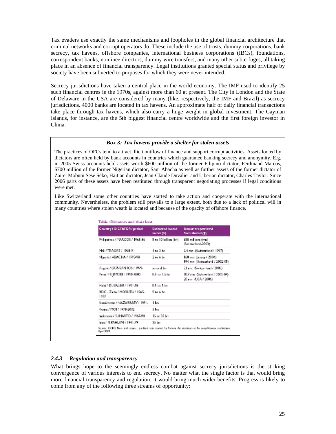Tax evaders use exactly the same mechanisms and loopholes in the global financial architecture that criminal networks and corrupt operators do. These include the use of trusts, dummy corporations, bank secrecy, tax havens, offshore companies, international business corporations (IBCs), foundations, correspondent banks, nominee directors, dummy wire transfers, and many other subterfuges, all taking place in an absence of financial transparency. Legal institutions granted special status and privilege by society have been subverted to purposes for which they were never intended.

Secrecy jurisdictions have taken a central place in the world economy. The IMF used to identify 25 such financial centres in the 1970s, against more than 60 at present. The City in London and the State of Delaware in the USA are considered by many (like, respectively, the IMF and Brazil) as secrecy jurisdictions. 4000 banks are located in tax havens. An approximate half of daily financial transactions take place through tax havens, which also carry a huge weight in global investment. The Cayman Islands, for instance, are the 5th biggest financial centre worldwide and the first foreign investor in China.

#### *Box 3: Tax havens provide a shelter for stolen assets*

The practices of OFCs tend to attract illicit outflow of finance and support corrupt activities. Assets looted by dictators are often held by bank accounts in countries which guarantee banking secrecy and anonymity. E.g. in 2005 Swiss accounts held assets worth \$600 million of the former Filipino dictator, Ferdinand Marcos, \$700 million of the former Nigerian dictator, Sani Abacha as well as further assets of the former dictator of Zaire, Mobutu Sese Seko, Haitian dictator, Jean-Claude Duvalier and Liberian dictator, Charles Taylor. Since 2006 parts of these assets have been restituted through transparent negotiating processes if legal conditions were met.

Like Switzerland some other countries have started to take action and cooperate with the international community. Nevertheless, the problem still prevails to a large extent, both due to a lack of political will in many countries where stolen weath is located and because of the opacity of offshore finance.

| Country / DICTATOR / period          | Estimated looted<br>ancres (5) | <b>Amount</b> reportanted<br>from abroad (\$)            |
|--------------------------------------|--------------------------------|----------------------------------------------------------|
| Philippines / MARCOS / 1965-86       | 5 to 10 billion (bm).          | 658 millions (mn)<br>(Switzerland-2013)                  |
| MsI / TRAORE / 1948-91               | l to 2 bn                      | 2.4 mn (Switzerland / 1997).                             |
| Niperia / ABACHA / 1993-98           | $2$ to 6 bm                    | 160 mn (kracy / 2004)<br>594 mn (Switzerland / 2002-05). |
| Argola / DOS SANTOS / 1979.          | several bo-                    | 21 mm (Switzerland / 2005).                              |
| Peru / FUJ MORL/ 1990-2000           | 0.6 to 1.5 bo.                 | 80.7 nm (Switzerland / 2002-04).<br>20 mg (USA / 2006)   |
| <b>HARRY DUWALIER / 1971.86</b>      | D.S. an 2 lim                  |                                                          |
| RDC - Zaire / MOBUTU / 1965-<br>1907 | 5 to 6 ba                      |                                                          |
| Kanakhutan / NAZARBAEV / 1991.       | l bn                           |                                                          |
| Kenya / MOH / 1978-2002              | 3 bu                           |                                                          |
| Indonesia / SUHARTO / 1967-98.       | 15 to 35 bm                    |                                                          |
| lean / M.PAHUWI / 1941-79            | 35 km                          |                                                          |

## *2.4.3 Regulation and transparency*

What brings hope to the seemingly endless combat against secrecy jurisdictions is the striking convergence of various interests to end secrecy. No matter what the single factor is that would bring more financial transparency and regulation, it would bring much wider benefits. Progress is likely to come from any of the following three streams of opportunity: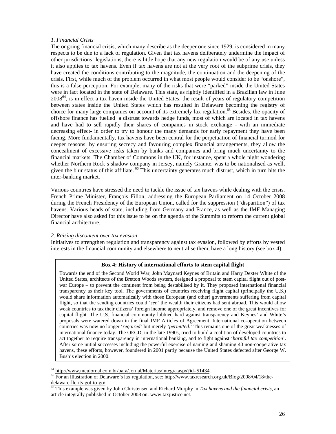#### *1. Financial Crisis*

The ongoing financial crisis, which many describe as the deeper one since 1929, is considered in many respects to be due to a lack of regulation. Given that tax havens deliberately undermine the impact of other jurisdictions' legislations, there is little hope that any new regulation would be of any use unless it also applies to tax havens. Even if tax havens are not at the very root of the subprime crisis, they have created the conditions contributing to the magnitude, the continuation and the deepening of the crisis. First, while much of the problem occurred in what most people would consider to be "onshore", this is a false perception. For example, many of the risks that were "parked" inside the United States were in fact located in the state of Delaware. This state, as rightly identified in a Brazilian law in June 2008<sup>64</sup>, is in effect a tax haven inside the United States: the result of years of regulatory competition between states inside the United States which has resulted in Delaware becoming the registry of choice for many large companies on account of its extremely lax regulation.<sup>65</sup> Besides, the opacity of offshore finance has fuelled a distrust towards hedge funds, most of which are located in tax havens and have had to sell rapidly their shares of companies in stock exchange - with an immediate decreasing effect- in order to try to honour the many demands for early repayment they have been facing. More fundamentally, tax havens have been central for the perpetuation of financial turmoil for deeper reasons: by ensuring secrecy and favouring complex financial arrangements, they allow the concealment of excessive risks taken by banks and companies and bring much uncertainty to the financial markets. The Chamber of Commons in the UK, for instance, spent a whole night wondering whether Northern Rock's shadow company in Jersey, namely Granite, was to be nationalised as well, given the blur status of this affiliate.<sup>66</sup> This uncertainty generates much distrust, which in turn hits the inter-banking market.

Various countries have stressed the need to tackle the issue of tax havens while dealing with the crisis. French Prime Minister, François Fillon, addressing the European Parliament on 14 October 2008 during the French Presidency of the European Union, called for the suppression ("disparition") of tax havens. Various heads of state, including from Germany and France, as well as the IMF Managing Director have also asked for this issue to be on the agenda of the Summits to reform the current global financial architecture.

#### *2. Raising discontent over tax evasion*

 $\overline{a}$ 

Initiatives to strengthen regulation and transparency against tax evasion, followed by efforts by vested interests in the financial community and elsewhere to neutralise them, have a long history (see box 4).

#### **Box 4: History of international efforts to stem capital flight**

Towards the end of the Second World War, John Maynard Keynes of Britain and Harry Dexter White of the United States, architects of the Bretton Woods system, designed a proposal to stem capital flight out of postwar Europe – to prevent the continent from being destabilised by it. They proposed international financial transparency as their key tool. The governments of countries receiving flight capital (principally the U.S.) would share information automatically with those European (and other) governments suffering from capital flight, so that the sending countries could '*see*' the wealth their citizens had sent abroad. This would allow weak countries to tax their citizens' foreign income appropriately, and remove one of the great incentives for capital flight. The U.S. financial community lobbied hard against transparency and Keynes' and White's proposals were watered down in the final IMF Articles of Agreement. International co-operation between countries was now no longer '*required'* but merely '*permitted*.' This remains one of the great weaknesses of international finance today. The OECD, in the late 1990s, tried to build a coalition of developed countries to act together to require transparency in international banking, and to fight against '*harmful tax competition*'. After some initial successes including the powerful exercise of naming and shaming 40 non-cooperative tax havens, these efforts, however, foundered in 2001 partly because the United States defected after George W. Bush's election in 2000.

<sup>&</sup>lt;sup>64</sup> http://www.meujornal.com.br/para/Jornal/Materias/integra.aspx?id=51434.

<sup>&</sup>lt;sup>65</sup> For an illustration of Delaware's lax regulation, see: http://www.taxresearch.org.uk/Blog/2008/04/18/thedelaware-llc-its-got-to-go/.

<sup>&</sup>lt;sup>66</sup> This example was given by John Christensen and Richard Murphy in *Tax havens and the financial crisis*, an article integrally published in October 2008 on: www.taxjustice.net.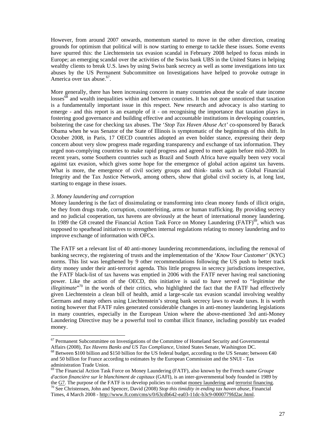However, from around 2007 onwards, momentum started to move in the other direction, creating grounds for optimism that political will is now starting to emerge to tackle these issues. Some events have spurred this: the Liechtenstein tax evasion scandal in February 2008 helped to focus minds in Europe; an emerging scandal over the activities of the Swiss bank UBS in the United States in helping wealthy clients to break U.S. laws by using Swiss bank secrecy as well as some investigations into tax abuses by the US Permanent Subcommittee on Investigations have helped to provoke outrage in America over tax abuse.<sup>67</sup>.

More generally, there has been increasing concern in many countries about the scale of state income losses<sup>68</sup> and wealth inequalities within and between countries. It has not gone unnoticed that taxation is a fundamentally important issue in this respect. New research and advocacy is also starting to emerge - and this report is an example of it - on recognising the importance that taxation plays in fostering good governance and building effective and accountable institutions in developing countries, bolstering the case for checking tax abuses. The '*Stop Tax Haven Abuse Act'* co-sponsored by Barack Obama when he was Senator of the State of Illinois is symptomatic of the beginnings of this shift. In October 2008, in Paris, 17 OECD countries adopted an even bolder stance, expressing their deep concern about very slow progress made regarding transparency and exchange of tax information. They urged non-complying countries to make rapid progress and agreed to meet again before mid-2009. In recent years, some Southern countries such as Brazil and South Africa have equally been very vocal against tax evasion, which gives some hope for the emergence of global action against tax havens. What is more, the emergence of civil society groups and think- tanks such as Global Financial Integrity and the Tax Justice Network, among others, show that global civil society is, at long last, starting to engage in these issues.

#### *3. Money laundering and corruption*

 $\overline{a}$ 

Money laundering is the fact of dissimulating or transforming into clean money funds of illicit origin, be they from drugs trade, corruption, counterfeiting, arms or human trafficking. By providing secrecy and no judicial cooperation, tax havens are obviously at the heart of international money laundering. In 1989 the G8 created the Financial Action Task Force on Money Laundering  $(FATF)^{69}$ , which was supposed to spearhead initiatives to strengthen internal regulations relating to money laundering and to improve exchange of information with OFCs.

The FATF set a relevant list of 40 anti-money laundering recommendations, including the removal of banking secrecy, the registering of trusts and the implementation of the '*Know Your Customer'* (KYC) norms. This list was lengthened by 9 other recommendations following the US push to better track dirty money under their anti-terrorist agenda. This little progress in secrecy jurisdictions irrespective, the FATF black-list of tax havens was emptied in 2006 with the FATF never having real sanctioning power. Like the action of the OECD, this initiative is said to have served to "*legitimise the illegitimate*" <sup>70</sup> in the words of their critics, who highlighted the fact that the FATF had effectively given Liechtenstein a clean bill of health, amid a large-scale tax evasion scandal involving wealthy Germans and many others using Liechtenstein's strong bank secrecy laws to evade taxes. It is worth noting however that FATF rules generated considerable changes in anti-money laundering legislations in many countries, especially in the European Union where the above-mentioned 3rd anti-Money Laundering Directive may be a powerful tool to combat illicit finance, including possibly tax evaded money.

<sup>&</sup>lt;sup>67</sup> Permanent Subcommittee on Investigations of the Committee of Homeland Security and Governmental Affairs (2008), *Tax Havens Banks and US Tax Compliance,* United States Senate, Washington DC.

 $68$  Between \$100 billion and \$150 billion for the US federal budget, according to the US Senate; between  $€40$ and 50 billion for France according to estimates by the European Commission and the SNUI - Tax administration Trade Union.

<sup>69</sup> The Financial Action Task Force on Money Laundering (FATF), also known by the French name *Groupe d'action financière sur le blanchiment de capitaux* (GAFI), is an inter-governmental body founded in 1989 by the G7. The purpose of the FATF is to develop policies to combat money laundering and terrorist financing. <sup>70</sup> See Christensen, John and Spencer, David (2008) *Stop this timidity in ending tax haven abuse*, Financial Times, 4 March 2008 - http://www.ft.com/cms/s/0/63cdb642-ea03-11dc-b3c9-0000779fd2ac.html.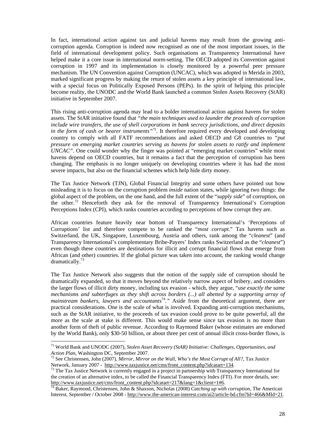In fact, international action against tax and judicial havens may result from the growing anticorruption agenda. Corruption is indeed now recognised as one of the most important issues, in the field of international development policy. Such organisations as Transparency International have helped make it a core issue in international norm-setting. The OECD adopted its Convention against corruption in 1997 and its implementation is closely monitored by a powerful peer pressure mechanism. The UN Convention against Corruption (UNCAC), which was adopted in Merida in 2003, marked significant progress by making the return of stolen assets a key principle of international law, with a special focus on Politically Exposed Persons (PEPs). In the spirit of helping this principle become reality, the UNODC and the World Bank launched a common Stolen Assets Recovery (StAR) initiative in September 2007.

This rising anti-corruption agenda may lead to a bolder international action against havens for stolen assets. The StAR initiative found that *"the main techniques used to launder the proceeds of corruption include wire transfers, the use of shell corporations in bank secrecy jurisdictions, and direct deposits in the form of cash or bearer instruments"<sup>71</sup>*. It therefore required every developed and developing country to comply with all FATF recommendations and asked OECD and G8 countries to *"put pressure on emerging market countries serving as havens for stolen assets to ratify and implement UNCAC"*. One could wonder why the finger was pointed at "emerging market countries" while most havens depend on OECD countries, but it remains a fact that the perception of corruption has been changing. The emphasis is no longer uniquely on developing countries where it has had the most severe impacts, but also on the financial schemes which help hide dirty money.

The Tax Justice Network (TJN), Global Financial Integrity and some others have pointed out how misleading it is to focus on the corruption problem *inside* nation states, while ignoring two things: the global aspect of the problem, on the one hand, and the full extent of the "*supply side*" of corruption, on the other.<sup>72</sup> Henceforth they ask for the removal of Transparency International's Corruption Perceptions Index (CPI), which ranks countries according to perceptions of how corrupt they are.

African countries feature heavily near bottom of Transparency International's 'Perceptions of Corruptions' list and therefore compete to be ranked the "*most corrupt*." Tax havens such as Switzerland, the UK, Singapore, Luxembourg, Austria and others, rank among the "*cleanest*" (and Transparency International's complementary Bribe-Payers' Index ranks Switzerland as the "*cleanest*") even though these countries are destinations for illicit and corrupt financial flows that emerge from African (and other) countries. If the global picture was taken into account, the ranking would change dramatically.<sup>73</sup>

The Tax Justice Network also suggests that the notion of the supply side of corruption should be dramatically expanded, so that it moves beyond the relatively narrow aspect of bribery, and considers the larger flows of illicit dirty money, including tax evasion - which, they argue, "*use exactly the same mechanisms and subterfuges as they shift across borders (...) all abetted by a supporting array of*  mainstream bankers, lawyers and accountants<sup>74</sup>." Aside from the theoretical argument, there are practical considerations. One is the scale of what is involved. Expanding anti-corruption mechanisms, such as the StAR initiative, to the proceeds of tax evasion could prove to be quite powerful, all the more as the scale at stake is different. This would make sense since tax evasion is no more than another form of theft of public revenue. According to Raymond Baker (whose estimates are endorsed by the World Bank), only \$30-50 billion, or about three per cent of annual illicit cross-border flows, is

 $\overline{a}$ 

<sup>71</sup> World Bank and UNODC (2007), *Stolen Asset Recovery (StAR) Initiative: Challenges, Opportunities, and Action Plan*, Washington DC, September 2007.

<sup>72</sup> See Christensen, John (2007), *Mirror, Mirror on the Wall, Who's the Most Corrupt of All?*, Tax Justice Network, January 2007 - http://www.taxjustice.net/cms/front\_content.php?idcatart=134.

<sup>&</sup>lt;sup>73</sup> The Tax Justice Network is currently engaged in a project in partnership with Transparency International for the creation of an alternative index, to be called the Financial Transparency Index (FTI). For more details, see: http://www.taxjustice.net/cms/front\_content.php?idcatart=217&lang=1&client=1#6.

<sup>74</sup> Baker, Raymond, Christensen, John & Shaxson, Nicholas (2008) *Catching up with corruption*, The American Interest, September / October 2008 - http://www.the-american-interest.com/ai2/article-bd.cfm?Id=466&MId=21.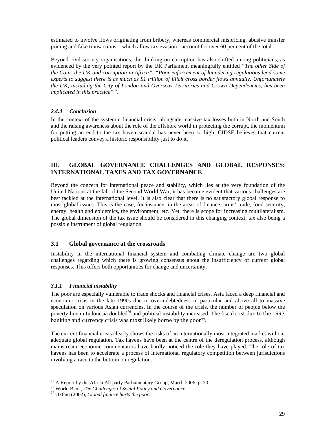estimated to involve flows originating from bribery, whereas commercial mispricing, abusive transfer pricing and fake transactions – which allow tax evasion - account for over 60 per cent of the total.

Beyond civil society organisations, the thinking on corruption has also shifted among politicians, as evidenced by the very pointed report by the UK Parliament meaningfully entitled *"The other Side of the Coin: the UK and corruption in Africa"*: *"Poor enforcement of laundering regulations lead some experts to suggest there is as much as \$1 trillion of illicit cross border flows annually. Unfortunately the UK, including the City of London and Overseas Territories and Crown Dependencies, has been implicated in this practice"<sup>75</sup>* .

## *2.4.4 Conclusion*

In the context of the systemic financial crisis, alongside massive tax losses both in North and South and the raising awareness about the role of the offshore world in protecting the corrupt, the momentum for putting an end to the tax haven scandal has never been so high. CIDSE believes that current political leaders convey a historic responsibility just to do it.

## **III. GLOBAL GOVERNANCE CHALLENGES AND GLOBAL RESPONSES: INTERNATIONAL TAXES AND TAX GOVERNANCE**

Beyond the concern for international peace and stability, which lies at the very foundation of the United Nations at the fall of the Second World War, it has become evident that various challenges are best tackled at the international level. It is also clear that there is no satisfactory global response to most global issues. This is the case, for instance, in the areas of finance, arms' trade, food security, energy, health and epidemics, the environment, etc. Yet, there is scope for increasing multilateralism. The global dimension of the tax issue should be considered in this changing context, tax also being a possible instrument of global regulation.

## **3.1 Global governance at the crossroads**

Instability in the international financial system and combating climate change are two global challenges regarding which there is growing consensus about the insufficiency of current global responses. This offers both opportunities for change and uncertainty.

## *3.1.1 Financial instability*

 $\overline{a}$ 

The poor are especially vulnerable to trade shocks and financial crises. Asia faced a deep financial and economic crisis in the late 1990s due to overindebtedness in particular and above all to massive speculation on various Asian currencies. In the course of the crisis, the number of people below the poverty line in Indonesia doubled<sup>76</sup> and political instability increased. The fiscal cost due to the 1997 banking and currency crisis was most likely borne by the poor<sup>77</sup>.

The current financial crisis clearly shows the risks of an internationally most integrated market without adequate global regulation. Tax havens have been at the centre of the deregulation process, although mainstream economic commentators have hardly noticed the role they have played. The role of tax havens has been to accelerate a process of international regulatory competition between jurisdictions involving a race to the bottom on regulation.

<sup>&</sup>lt;sup>75</sup> A Report by the Africa All party Parliamentary Group, March 2006, p. 20.

<sup>76</sup> World Bank, *The Challenges of Social Policy and Governance.* 

<sup>77</sup> Oxfam (2002), *Global finance hurts the poor.*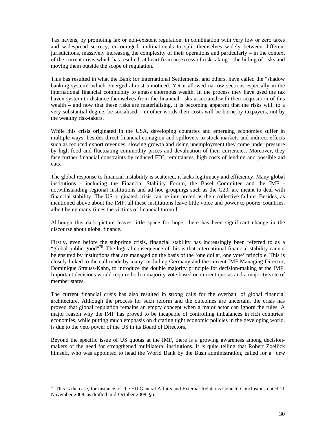Tax havens, by promoting lax or non-existent regulation, in combination with very low or zero taxes and widespread secrecy, encouraged multinationals to split themselves widely between different jurisdictions, massively increasing the complexity of their operations and particularly – in the context of the current crisis which has resulted, at heart from an excess of risk-taking – the hiding of risks and moving them outside the scope of regulation.

This has resulted in what the Bank for International Settlements, and others, have called the "shadow banking system" which emerged almost unnoticed. Yet it allowed narrow sections especially in the international financial community to amass enormous wealth. In the process they have used the tax haven system to distance themselves from the financial risks associated with their acquisition of this wealth – and now that these risks are materialising, it is becoming apparent that the risks will, to a very substantial degree, be socialised – in other words their costs will be borne by taxpayers, not by the wealthy risk-takers.

While this crisis originated in the USA, developing countries and emerging economies suffer in multiple ways: besides direct financial contagion and spillovers to stock markets and indirect effects such as reduced export revenues, slowing growth and rising unemployment they come under pressure by high food and fluctuating commodity prices and devaluation of their currencies. Moreover, they face further financial constraints by reduced FDI, remittances, high costs of lending and possible aid cuts.

The global response to financial instability is scattered, it lacks legitimacy and efficiency. Many global institutions - including the Financial Stability Forum, the Basel Committee and the IMF notwithstanding regional institutions and ad hoc groupings such as the G20, are meant to deal with financial stability. The US-originated crisis can be interpreted as their collective failure. Besides, as mentioned above about the IMF, all these institutions leave little voice and power to poorer countries, albeit being many times the victims of financial turmoil.

Although this dark picture leaves little space for hope, there has been significant change in the discourse about global finance.

Firstly, even before the subprime crisis, financial stability has increasingly been referred to as a "global public good"<sup>78</sup>. The logical consequence of this is that international financial stability cannot be ensured by institutions that are managed on the basis of the 'one dollar, one vote' principle. This is closely linked to the call made by many, including Germany and the current IMF Managing Director, Dominique Strauss-Kahn, to introduce the double majority principle for decision-making at the IMF. Important decisions would require both a majority vote based on current quotas and a majority vote of member states.

The current financial crisis has also resulted in strong calls for the overhaul of global financial architecture. Although the process for such reform and the outcomes are uncertain, the crisis has proved that global regulation remains an empty concept when a major actor can ignore the rules. A major reason why the IMF has proved to be incapable of controlling imbalances in rich countries' economies, while putting much emphasis on dictating tight economic policies in the developing world, is due to the veto power of the US in its Board of Directors.

Beyond the specific issue of US quotas at the IMF, there is a growing awareness among decisionmakers of the need for strengthened multilateral institutions. It is quite telling that Robert Zoellick himself, who was appointed to head the World Bank by the Bush administration, called for a "*new* 

 $\overline{a}$ 

<sup>&</sup>lt;sup>78</sup> This is the case, for instance, of the EU General Affairs and External Relations Council Conclusions dated 11 November 2008, as drafted mid-October 2008, §6.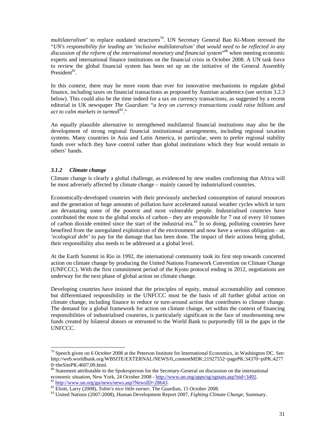*multilateralism*" to replace outdated structures<sup>79</sup>. UN Secretary General Ban Ki-Moon stressed the "*UN's responsibility for leading an 'inclusive multilateralism' that would need to be reflected in any*  discussion of the reform of the international monetary and financial system<sup>, 80</sup> when meeting economic experts and international finance institutions on the financial crisis in October 2008. A UN task force to review the global financial system has been set up on the initiative of the General Assembly President<sup>81</sup>.

In this context, there may be more room than ever for innovative mechanisms to regulate global finance, including taxes on financial transactions as proposed by Austrian academics (see section 3.2.3 below). This could also be the time indeed for a tax on currency transactions, as suggested by a recent editorial in UK newspaper *The Guardian*: "*a levy on currency transactions could raise billions and act to calm markets in turmoi*l <sup>82</sup>."

An equally plausible alternative to strengthened multilateral financial institutions may also be the development of strong regional financial institutionnal arrangements, including regional taxation systems. Many countries in Asia and Latin America, in particular, seem to prefer regional stability funds over which they have control rather than global institutions which they fear would remain in others' hands.

## *3.1.2 Climate change*

 $\overline{a}$ 

Climate change is clearly a global challenge, as evidenced by new studies confirming that Africa will be most adversely affected by climate change – mainly caused by industrialized countries.

Economically-developed countries with their previously unchecked consumption of natural resources and the generation of huge amounts of pollution have accelerated natural weather cycles which in turn are devastating some of the poorest and most vulnerable people. Industrialised countries have contributed the most to the global stocks of carbon - they are responsible for 7 out of every 10 tonnes of carbon dioxide emitted since the start of the industrial era. $83 \text{ In so doing, polling countries have}$ benefited from the unregulated exploitation of the environment and now have a serious obligation - an *'ecological debt'* to pay for the damage that has been done. The impact of their actions being global, their responsibility also needs to be addressed at a global level.

At the Earth Summit in Rio in 1992, the international community took its first step towards concerted action on climate change by producing the United Nations Framework Convention on Climate Change (UNFCCC). With the first commitment period of the Kyoto protocol ending in 2012, negotiations are underway for the next phase of global action on climate change.

Developing countries have insisted that the principles of equity, mutual accountability and common but differentiated responsibility in the UNFCCC must be the basis of all further global action on climate change, including finance to reduce or turn-around action that contributes to climate change. The demand for a global framework for action on climate change, set within the context of financing responsibilities of industrialised countries, is particularly significant in the face of mushrooming new funds created by bilateral donors or entrusted to the World Bank to purportedly fill in the gaps in the UNFCCC.

 $^{79}$  Speech given on 6 October 2008 at the Peterson Institute for International Economics, in Washington DC. See: http://web.worldbank.org/WBSITE/EXTERNAL/NEWS/0,,contentMDK:21927552~pagePK:34370~piPK:4277 0~theSitePK:4607,00.html.

<sup>&</sup>lt;sup>80</sup> Statement attributable to the Spokesperson for the Secretary-General on discussion on the international economic situation, New York, 24 October 2008 - http://www.un.org/apps/sg/sgstats.asp?nid=3492. <sup>81</sup> http://www.un.org/ga/news/news.asp?NewsID=28643.

<sup>82</sup> Eliott, Larry (2008), *Tobin's nice little earner*, The Guardian, 15 October 2008.

<sup>83</sup> United Nations (2007-2008), Human Development Report 2007, *Fighting Climate Change,* Summary.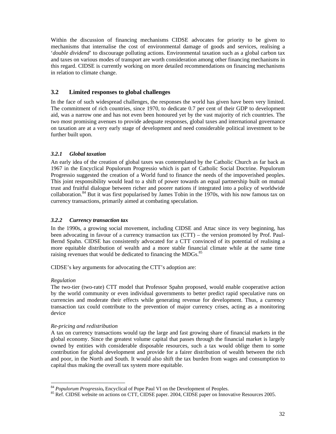Within the discussion of financing mechanisms CIDSE advocates for priority to be given to mechanisms that internalise the cost of environmental damage of goods and services, realising a '*double dividend*' to discourage polluting actions. Environmental taxation such as a global carbon tax and taxes on various modes of transport are worth consideration among other financing mechanisms in this regard. CIDSE is currently working on more detailed recommendations on financing mechanisms in relation to climate change.

## **3.2 Limited responses to global challenges**

In the face of such widespread challenges, the responses the world has given have been very limited. The commitment of rich countries, since 1970, to dedicate 0.7 per cent of their GDP to development aid, was a narrow one and has not even been honoured yet by the vast majority of rich countries. The two most promising avenues to provide adequate responses, global taxes and international governance on taxation are at a very early stage of development and need considerable political investment to be further built upon.

## *3.2.1 Global taxation*

An early idea of the creation of global taxes was contemplated by the Catholic Church as far back as 1967 in the Encyclical Populorum Progressio which is part of Catholic Social Doctrine. Populorum Progressio suggested the creation of a World fund to finance the needs of the impoverished peoples. This joint responsibility would lead to a shift of power towards an equal partnership built on mutual trust and fruitful dialogue between richer and poorer nations if integrated into a policy of worldwide collaboration.<sup>84</sup> But it was first popularised by James Tobin in the 1970s, with his now famous tax on currency transactions, primarily aimed at combating speculation.

## *3.2.2 Currency transaction tax*

In the 1990s, a growing social movement, including CIDSE and Attac since its very beginning, has been advocating in favour of a currency transaction tax (CTT) – the version promoted by Prof. Paul-Bernd Spahn. CIDSE has consistently advocated for a CTT convinced of its potential of realising a more equitable distribution of wealth and a more stable financial climate while at the same time raising revenues that would be dedicated to financing the MDGs.<sup>85</sup>

CIDSE's key arguments for advocating the CTT's adoption are:

## *Regulation*

 $\overline{a}$ 

The two-tier (two-rate) CTT model that Professor Spahn proposed, would enable cooperative action by the world community or even individual governments to better predict rapid speculative runs on currencies and moderate their effects while generating revenue for development. Thus, a currency transaction tax could contribute to the prevention of major currency crises, acting as a monitoring device

## *Re-pricing and redistribution*

A tax on currency transactions would tap the large and fast growing share of financial markets in the global economy. Since the greatest volume capital that passes through the financial market is largely owned by entities with considerable disposable resources, such a tax would oblige them to some contribution for global development and provide for a fairer distribution of wealth between the rich and poor, in the North and South. It would also shift the tax burden from wages and consumption to capital thus making the overall tax system more equitable.

<sup>84</sup> *Populorum Progressio,* Encyclical of Pope Paul VI on the Development of Peoples.

<sup>&</sup>lt;sup>85</sup> Ref. CIDSE website on actions on CTT, CIDSE paper. 2004, CIDSE paper on Innovative Resources 2005.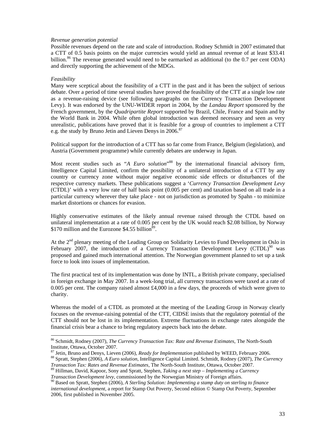#### *Revenue generation potential*

Possible revenues depend on the rate and scale of introduction. Rodney Schmidt in 2007 estimated that a CTT of 0.5 basis points on the major currencies would yield an annual revenue of at least \$33.41 billion.<sup>86</sup> The revenue generated would need to be earmarked as additional (to the  $0.7$  per cent ODA) and directly supporting the achievement of the MDGs.

#### *Feasibility*

 $\overline{a}$ 

Many were sceptical about the feasibility of a CTT in the past and it has been the subject of serious debate. Over a period of time several studies have proved the feasibility of the CTT at a single low rate as a revenue-raising device (see following paragraphs on the Currency Transaction Development Levy). It was endorsed by the UNU-WIDER report in 2004, by the *Landau Report* sponsored by the French government, by the *Quadripartite Report* supported by Brazil, Chile, France and Spain and by the World Bank in 2004. While often global introduction was deemed necessary and seen as very unrealistic, publications have proved that it is feasible for a group of countries to implement a CTT e.g. the study by Bruno Jetin and Lieven Denys in 2006.<sup>87</sup>

Political support for the introduction of a CTT has so far come from France, Belgium (legislation), and Austria (Government programme) while currently debates are underway in Japan.

Most recent studies such as "*A Euro solution*" <sup>88</sup> by the international financial advisory firm, Intelligence Capital Limited, confirm the possibility of a unilateral introduction of a CTT by any country or currency zone without major negative economic side effects or disturbances of the respective currency markets. These publications suggest a '*Currency Transaction Development Levy* (CTDL)' with a very low rate of half basis point (0.005 per cent) and taxation based on all trade in a particular currency wherever they take place - not on jurisdiction as promoted by Spahn - to minimize market distortions or chances for evasion.

Highly conservative estimates of the likely annual revenue raised through the CTDL based on unilateral implementation at a rate of 0.005 per cent by the UK would reach \$2.08 billion, by Norway \$170 million and the Eurozone \$4.55 billion<sup>89</sup>.

At the  $2<sup>nd</sup>$  plenary meeting of the Leading Group on Solidarity Levies to Fund Development in Oslo in February 2007, the introduction of a Currency Transaction Development Levy  $(CTDL)^{90}$  was proposed and gained much international attention. The Norwegian government planned to set up a task force to look into issues of implementation.

The first practical test of its implementation was done by INTL, a British private company, specialised in foreign exchange in May 2007. In a week-long trial, all currency transactions were taxed at a rate of 0.005 per cent. The company raised almost £4,000 in a few days, the proceeds of which were given to charity.

Whereas the model of a CTDL as promoted at the meeting of the Leading Group in Norway clearly focuses on the revenue-raising potential of the CTT, CIDSE insists that the regulatory potential of the CTT should not be lost in its implementation. Extreme fluctuations in exchange rates alongside the financial crisis bear a chance to bring regulatory aspects back into the debate.

<sup>89</sup> Hillman, David, Kapoor, Sony and Spratt, Stephen, *Taking a next step – Implementing a Currency Transaction Development levy,* commissioned by the Norwegian Ministry of Foreign affairs.

<sup>86</sup> Schmidt, Rodney (2007), *The Currency Transaction Tax: Rate and Revenue Estimates,* The North-South Institute, Ottawa, October 2007.

<sup>87</sup> Jetin, Bruno and Denys, Lieven (2006), *Ready for Implementation* published by WEED, February 2006.

<sup>88</sup> Spratt, Stephen (2006), *A Euro solution*, Intelligence Capital Limited. Schmidt, Rodney (2007), *The Currency Transaction Tax: Rates and Revenue Estimates*, The North-South Institute, Ottawa, October 2007.

<sup>90</sup> Based on Spratt, Stephen (2006), *A Sterling Solution: Implementing a stamp duty on sterling to finance international development,* a report for Stamp Out Poverty, Second edition © Stamp Out Poverty, September 2006, first published in November 2005.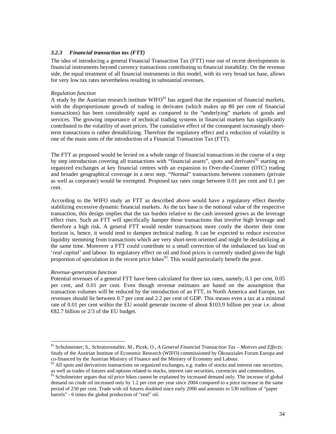## *3.2.3 Financial transaction tax (FTT)*

The idea of introducing a general Financial Transaction Tax (FTT) rose out of recent developments in financial instruments beyond currency transactions contributing to financial instability. On the revenue side, the equal treatment of all financial instruments in this model, with its very broad tax base, allows for very low tax rates nevertheless resulting in substantial revenues.

#### *Regulation function*

A study by the Austrian research institute  $WIFO<sup>91</sup>$  has argued that the expansion of financial markets, with the disproportionate growth of trading in derivates (which makes up 80 per cent of financial transactions) has been considerably rapid as compared to the "underlying" markets of goods and services. The growing importance of technical trading systems in financial markets has significantly contributed to the volatility of asset prices. The cumulative effect of the consequent increasingly shortterm transactions is rather destabilizing. Therefore the regulatory effect and a reduction of volatility is one of the main aims of the introduction of a Financial Transaction Tax (FTT).

The FTT as proposed would be levied on a whole range of financial transactions in the course of a step by step introduction covering all transactions with "financial assets", spots and derivates<sup>92</sup> starting on organized exchanges at key financial centres with an expansion to Over-the-Counter (OTC) trading and broader geographical coverage in a next step. "Normal" transactions between customers (private as well as corporate) would be exempted. Proposed tax rates range between 0.01 per cent and 0.1 per cent.

According to the WIFO study an FTT as described above would have a regulatory effect thereby stabilizing excessive dynamic financial markets. As the tax base is the notional value of the respective transaction, this design implies that the tax burden relative to the cash invested grows as the leverage effect rises. Such an FTT will specifically hamper those transactions that involve high leverage and therefore a high risk. A general FTT would render transactions more costly the shorter their time horizon is, hence, it would tend to dampen technical trading. It can be expected to reduce excessive liquidity stemming from transactions which are very short-term oriented and might be destabilizing at the same time. Moreover a FTT could contribute to a small correction of the imbalanced tax load on '*real capital'* and labour. Its regulatory effect on oil and food prices is currently studied given the high proportion of speculation in the recent price hikes $93$ . This would particularly benefit the poor.

#### *Revenue-generation function*

 $\overline{a}$ 

Potential revenues of a general FTT have been calculated for three tax rates, namely, 0.1 per cent, 0.05 per cent, and 0.01 per cent. Even though revenue estimates are based on the assumption that transaction volumes will be reduced by the introduction of an FTT, in North America and Europe, tax revenues should lie between 0.7 per cent and 2.2 per cent of GDP. This means even a tax at a minimal rate of 0.01 per cent within the EU would generate income of about \$103.9 billion per year i.e. about  $\epsilon$ 82.7 billion or 2/3 of the EU budget.

<sup>91</sup> Schulmeister; S., Schratzenstaller, M., Picek, O., *A General Financial Transaction Tax – Motives and Effects*; Study of the Austrian Institute of Economic Research (WIFO) commissioned by Ökosoziales Forum Europa and co-financed by the Austrian Ministry of Finance and the Ministry of Economy and Labour.

 $^2$  All spots and derivatives transactions on organized exchanges, e.g. trades of stocks and interest rate securities, as well as trades of futures and options related to stocks, interest rate securities, currencies and commodities.

Schulmeister argues that oil price hikes cannot be explained by increased demand only. The increase of global demand on crude oil increased only by 1.2 per cent per year since 2004 compared to a price increase in the same period of 250 per cent. Trade with oil futures doubled since early 2006 and amounts to 530 millions of "paper barrels" - 6 times the global production of "real" oil.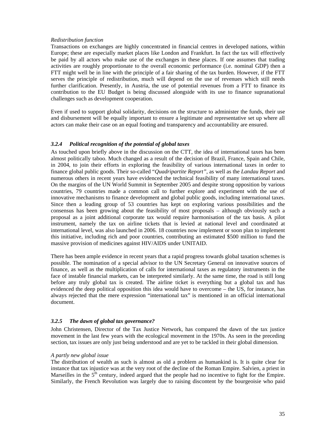#### *Redistribution function*

Transactions on exchanges are highly concentrated in financial centres in developed nations, within Europe; these are especially market places like London and Frankfurt. In fact the tax will effectively be paid by all actors who make use of the exchanges in these places. If one assumes that trading activities are roughly proportionate to the overall economic performance (i.e. nominal GDP) then a FTT might well be in line with the principle of a fair sharing of the tax burden. However, if the FTT serves the principle of redistribution, much will depend on the use of revenues which still needs further clarification. Presently, in Austria, the use of potential revenues from a FTT to finance its contribution to the EU Budget is being discussed alongside with its use to finance supranational challenges such as development cooperation.

Even if used to support global solidarity, decisions on the structure to administer the funds, their use and disbursement will be equally important to ensure a legitimate and representative set up where all actors can make their case on an equal footing and transparency and accountability are ensured.

## *3.2.4 Political recognition of the potential of global taxes*

As touched upon briefly above in the discussion on the CTT, the idea of international taxes has been almost politically taboo. Much changed as a result of the decision of Brazil, France, Spain and Chile, in 2004, to join their efforts in exploring the feasibility of various international taxes in order to finance global public goods. Their so-called "*Quadripartite Report"*, as well as the *Landau Report* and numerous others in recent years have evidenced the technical feasibility of many international taxes. On the margins of the UN World Summit in September 2005 and despite strong opposition by various countries, 79 countries made a common call to further explore and experiment with the use of innovative mechanisms to finance development and global public goods, including international taxes. Since then a leading group of 53 countries has kept on exploring various possibilities and the consensus has been growing about the feasibility of most proposals – although obviously such a proposal as a joint additional corporate tax would require harmonisation of the tax basis. A pilot instrument, namely the tax on airline tickets that is levied at national level and coordinated at international level, was also launched in 2006. 18 countries now implement or soon plan to implement this initiative, including rich and poor countries, contributing an estimated \$500 million to fund the massive provision of medicines against HIV/AIDS under UNITAID.

There has been ample evidence in recent years that a rapid progress towards global taxation schemes is possible. The nomination of a special advisor to the UN Secretary General on innovative sources of finance, as well as the multiplication of calls for international taxes as regulatory instruments in the face of instable financial markets, can be interpreted similarly. At the same time, the road is still long before any truly global tax is created. The airline ticket is everything but a global tax and has evidenced the deep political opposition this idea would have to overcome – the US, for instance, has always rejected that the mere expression "international tax" is mentioned in an official international document.

#### *3.2.5 The dawn of global tax governance?*

John Christensen, Director of the Tax Justice Network, has compared the dawn of the tax justice movement in the last few years with the ecological movement in the 1970s. As seen in the preceding section, tax issues are only just being understood and are yet to be tackled in their global dimension.

#### *A partly new global issue*

The distribution of wealth as such is almost as old a problem as humankind is. It is quite clear for instance that tax injustice was at the very root of the decline of the Roman Empire. Salvien, a priest in Marseilles in the  $5<sup>th</sup>$  century, indeed argued that the people had no incentive to fight for the Empire. Similarly, the French Revolution was largely due to raising discontent by the bourgeoisie who paid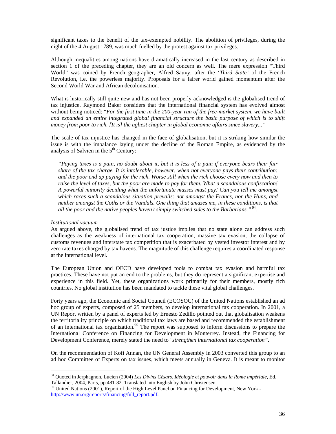significant taxes to the benefit of the tax-exempted nobility. The abolition of privileges, during the night of the 4 August 1789, was much fuelled by the protest against tax privileges.

Although inequalities among nations have dramatically increased in the last century as described in section 1 of the preceding chapter, they are an old concern as well. The mere expression "Third World" was coined by French geographer, Alfred Sauvy, after the '*Third State'* of the French Revolution, i.e. the powerless majority. Proposals for a fairer world gained momentum after the Second World War and African decolonisation.

What is historically still quite new and has not been properly acknowledged is the globalised trend of tax injustice. Raymond Baker considers that the international financial system has evolved almost without being noticed: "*For the first time in the 200-year run of the free-market system, we have built and expanded an entire integrated global financial structure the basic purpose of which is to shift money from poor to rich. [It is] the ugliest chapter in global economic affairs since slavery..."*

The scale of tax injustice has changed in the face of globalisation, but it is striking how similar the issue is with the imbalance laying under the decline of the Roman Empire, as evidenced by the analysis of Salvien in the  $5<sup>th</sup>$  Century:

*"Paying taxes is a pain, no doubt about it, but it is less of a pain if everyone bears their fair share of the tax charge. It is intolerable, however, when not everyone pays their contribution: and the poor end up paying for the rich. Worse still when the rich choose every now and then to raise the level of taxes, but the poor are made to pay for them. What a scandalous confiscation! A powerful minority deciding what the unfortunate masses must pay! Can you tell me amongst which races such a scandalous situation prevails: not amongst the Francs, nor the Huns, and neither amongst the Goths or the Vandals. One thing that amazes me, in these conditions, is that*  all the poor and the native peoples haven't simply switched sides to the Barbarians." <sup>94</sup>.

#### *Institutional vacuum*

 $\overline{a}$ 

As argued above, the globalised trend of tax justice implies that no state alone can address such challenges as the weakness of international tax cooperation, massive tax evasion, the collapse of customs revenues and interstate tax competition that is exacerbated by vested investor interest and by zero rate taxes charged by tax havens. The magnitude of this challenge requires a coordinated response at the international level.

The European Union and OECD have developed tools to combat tax evasion and harmful tax practices. These have not put an end to the problems, but they do represent a significant expertise and experience in this field. Yet, these organizations work primarily for their members, mostly rich countries. No global institution has been mandated to tackle these vital global challenges.

Forty years ago, the Economic and Social Council (ECOSOC) of the United Nations established an ad hoc group of experts, composed of 25 members, to develop international tax cooperation. In 2001, a UN Report written by a panel of experts led by Ernesto Zedillo pointed out that globalisation weakens the territoriality principle on which traditional tax laws are based and recommended the establishment of an international tax organization.<sup>95</sup> The report was supposed to inform discussions to prepare the International Conference on Financing for Development in Monterrey. Instead, the Financing for Development Conference, merely stated the need to *"strengthen international tax cooperation"*.

On the recommendation of Kofi Annan, the UN General Assembly in 2003 converted this group to an ad hoc Committee of Experts on tax issues, which meets annually in Geneva. It is meant to monitor

<sup>94</sup> Quoted in Jerphagnon, Lucien (2004) *Les Divins Césars. Idéologie et pouvoir dans la Rome impériale*, Ed. Tallandier, 2004, Paris, pp.481-82. Translated into English by John Christensen.

<sup>&</sup>lt;sup>95</sup> United Nations (2001), Report of the High Level Panel on Financing for Development, New York http://www.un.org/reports/financing/full\_report.pdf.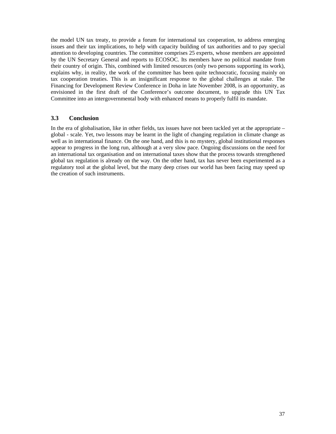the model UN tax treaty, to provide a forum for international tax cooperation, to address emerging issues and their tax implications, to help with capacity building of tax authorities and to pay special attention to developing countries. The committee comprises 25 experts, whose members are appointed by the UN Secretary General and reports to ECOSOC. Its members have no political mandate from their country of origin. This, combined with limited resources (only two persons supporting its work), explains why, in reality, the work of the committee has been quite technocratic, focusing mainly on tax cooperation treaties. This is an insignificant response to the global challenges at stake. The Financing for Development Review Conference in Doha in late November 2008, is an opportunity, as envisioned in the first draft of the Conference's outcome document, to upgrade this UN Tax Committee into an intergovernmental body with enhanced means to properly fulfil its mandate.

## **3.3 Conclusion**

In the era of globalisation, like in other fields, tax issues have not been tackled yet at the appropriate – global - scale. Yet, two lessons may be learnt in the light of changing regulation in climate change as well as in international finance. On the one hand, and this is no mystery, global institutional responses appear to progress in the long run, although at a very slow pace. Ongoing discussions on the need for an international tax organisation and on international taxes show that the process towards strengthened global tax regulation is already on the way. On the other hand, tax has never been experimented as a regulatory tool at the global level, but the many deep crises our world has been facing may speed up the creation of such instruments.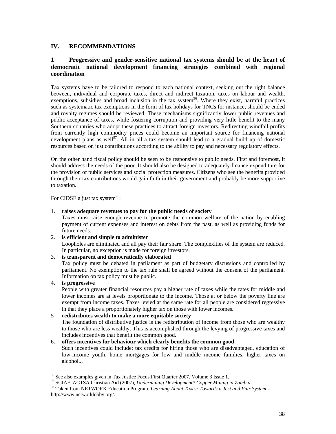## **IV. RECOMMENDATIONS**

## **1 Progressive and gender-sensitive national tax systems should be at the heart of democratic national development financing strategies combined with regional coordination**

Tax systems have to be tailored to respond to each national context, seeking out the right balance between, individual and corporate taxes, direct and indirect taxation, taxes on labour and wealth, exemptions, subsidies and broad inclusion in the tax system<sup>96</sup>. Where they exist, harmful practices such as systematic tax exemptions in the form of tax holidays for TNCs for instance, should be ended and royalty regimes should be reviewed. These mechanisms significantly lower public revenues and public acceptance of taxes, while fostering corruption and providing very little benefit to the many Southern countries who adopt these practices to attract foreign investors. Redirecting windfall profits from currently high commodity prices could become an important source for financing national development plans as well<sup>97</sup>. All in all a tax system should lead to a gradual build up of domestic resources based on just contributions according to the ability to pay and necessary regulatory effects.

On the other hand fiscal policy should be seen to be responsive to public needs. First and foremost, it should address the needs of the poor. It should also be designed to adequately finance expenditure for the provision of public services and social protection measures. Citizens who see the benefits provided through their tax contributions would gain faith in their government and probably be more supportive to taxation.

For CIDSE a just tax system<sup>98</sup>:

## 1. **raises adequate revenues to pay for the public needs of society**

Taxes must raise enough revenue to promote the common welfare of the nation by enabling payment of current expenses and interest on debts from the past, as well as providing funds for future needs.

#### 2. **is efficient and simple to administer**

Loopholes are eliminated and all pay their fair share. The complexities of the system are reduced. In particular, no exception is made for foreign investors.

#### 3. **is transparent and democratically elaborated**

Tax policy must be debated in parliament as part of budgetary discussions and controlled by parliament. No exemption to the tax rule shall be agreed without the consent of the parliament. Information on tax policy must be public.

4. **is progressive**

 $\overline{a}$ 

People with greater financial resources pay a higher rate of taxes while the rates for middle and lower incomes are at levels proportionate to the income. Those at or below the poverty line are exempt from income taxes. Taxes levied at the same rate for all people are considered regressive in that they place a proportionately higher tax on those with lower incomes.

## 5 **redistributes wealth to make a more equitable society**

The foundation of distributive justice is the redistribution of income from those who are wealthy to those who are less wealthy. This is accomplished through the levying of progressive taxes and includes incentives that benefit the common good.

#### 6. **offers incentives for behaviour which clearly benefits the common good**

Such incentives could include: tax credits for hiring those who are disadvantaged, education of low-income youth, home mortgages for low and middle income families, higher taxes on alcohol...

<sup>&</sup>lt;sup>96</sup> See also examples given in Tax Justice Focus First Quarter 2007, Volume 3 Issue 1.

<sup>97</sup> SCIAF, ACTSA Christian Aid (2007), *Undermining Development? Copper Mining in Zambia.*

<sup>98</sup> Taken from NETWORK Education Program, *Learning About Taxes: Towards a Just and Fair System*  http://www.networklobby.org/.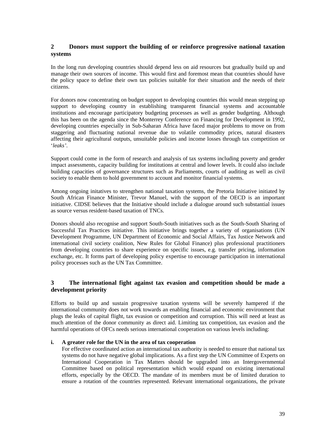## **2 Donors must support the building of or reinforce progressive national taxation systems**

In the long run developing countries should depend less on aid resources but gradually build up and manage their own sources of income. This would first and foremost mean that countries should have the policy space to define their own tax policies suitable for their situation and the needs of their citizens.

For donors now concentrating on budget support to developing countries this would mean stepping up support to developing country in establishing transparent financial systems and accountable institutions and encourage participatory budgeting processes as well as gender budgeting. Although this has been on the agenda since the Monterrey Conference on Financing for Development in 1992, developing countries especially in Sub-Saharan Africa have faced major problems to move on from staggering and fluctuating national revenue due to volatile commodity prices, natural disasters affecting their agricultural outputs, unsuitable policies and income losses through tax competition or '*leaks'*.

Support could come in the form of research and analysis of tax systems including poverty and gender impact assessments, capacity building for institutions at central and lower levels. It could also include building capacities of governance structures such as Parliaments, courts of auditing as well as civil society to enable them to hold government to account and monitor financial systems.

Among ongoing initatives to strengthen national taxation systems, the Pretoria Initiative initiated by South African Finance Minister, Trevor Manuel, with the support of the OECD is an important initiative. CIDSE believes that the Initiative should include a dialogue around such substantial issues as source versus resident-based taxation of TNCs.

Donors should also recognise and support South-South initiatives such as the South-South Sharing of Successful Tax Practices initiative. This initiative brings together a variety of organisations (UN Development Programme, UN Department of Economic and Social Affairs, Tax Justice Network and international civil society coalition, New Rules for Global Finance) plus professional practitioners from developing countries to share experience on specific issues, e.g. transfer pricing, information exchange, etc. It forms part of developing policy expertise to encourage participation in international policy processes such as the UN Tax Committee.

## **3 The international fight against tax evasion and competition should be made a development priority**

Efforts to build up and sustain progressive taxation systems will be severely hampered if the international community does not work towards an enabling financial and economic environment that plugs the leaks of capital flight, tax evasion or competition and corruption. This will need at least as much attention of the donor community as direct aid. Limiting tax competition, tax evasion and the harmful operations of OFCs needs serious international cooperation on various levels including:

#### **i. A greater role for the UN in the area of tax cooperation**

For effective coordinated action an international tax authority is needed to ensure that national tax systems do not have negative global implications. As a first step the UN Committee of Experts on International Cooperation in Tax Matters should be upgraded into an Intergovernmental Committee based on political representation which would expand on existing international efforts, especially by the OECD. The mandate of its members must be of limited duration to ensure a rotation of the countries represented. Relevant international organizations, the private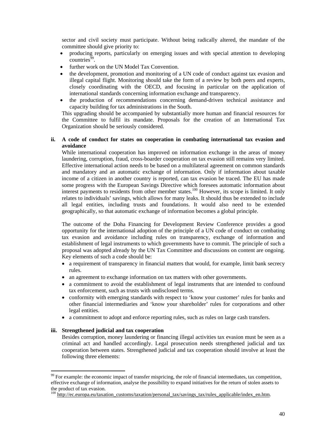sector and civil society must participate. Without being radically altered, the mandate of the committee should give priority to:

- producing reports, particularly on emerging issues and with special attention to developing  $countries<sup>99</sup>$ .
- further work on the UN Model Tax Convention.
- the development, promotion and monitoring of a UN code of conduct against tax evasion and illegal capital flight. Monitoring should take the form of a review by both peers and experts, closely coordinating with the OECD, and focusing in particular on the application of international standards concerning information exchange and transparency.
- the production of recommendations concerning demand-driven technical assistance and capacity building for tax administrations in the South.

This upgrading should be accompanied by substantially more human and financial resources for the Committee to fulfil its mandate. Proposals for the creation of an International Tax Organization should be seriously considered.

#### **ii. A code of conduct for states on cooperation in combating international tax evasion and avoidance**

While international cooperation has improved on information exchange in the areas of money laundering, corruption, fraud, cross-boarder cooperation on tax evasion still remains very limited. Effective international action needs to be based on a multilateral agreement on common standards and mandatory and an automatic exchange of information. Only if information about taxable income of a citizen in another country is reported, can tax evasion be traced. The EU has made some progress with the European Savings Directive which foresees automatic information about interest payments to residents from other member states.<sup>100</sup> However, its scope is limited. It only relates to individuals' savings, which allows for many leaks. It should thus be extended to include all legal entities, including trusts and foundations. It would also need to be extended geographically, so that automatic exchange of information becomes a global principle.

The outcome of the Doha Financing for Development Review Conference provides a good opportunity for the international adoption of the principle of a UN code of conduct on combating tax evasion and avoidance including rules on transparency, exchange of information and establishment of legal instruments to which governments have to commit. The principle of such a proposal was adopted already by the UN Tax Committee and discussions on content are ongoing. Key elements of such a code should be:

- a requirement of transparency in financial matters that would, for example, limit bank secrecy rules.
- an agreement to exchange information on tax matters with other governments.
- a commitment to avoid the establishment of legal instruments that are intended to confound tax enforcement, such as trusts with undisclosed terms.
- conformity with emerging standards with respect to 'know your customer' rules for banks and other financial intermediaries and 'know your shareholder' rules for corporations and other legal entities.
- a commitment to adopt and enforce reporting rules, such as rules on large cash transfers.

#### **iii. Strengthened judicial and tax cooperation**

 $\overline{a}$ 

Besides corruption, money laundering or financing illegal activities tax evasion must be seen as a criminal act and handled accordingly. Legal prosecution needs strengthened judicial and tax cooperation between states. Strengthened judicial and tax cooperation should involve at least the following three elements:

<sup>&</sup>lt;sup>99</sup> For example: the economic impact of transfer mispricing, the role of financial intermediates, tax competition, effective exchange of information, analyse the possibility to expand initiatives for the return of stolen assets to the product of tax evasion.

<sup>&</sup>lt;sup>100</sup> http://ec.europa.eu/taxation\_customs/taxation/personal\_tax/savings\_tax/rules\_applicable/index\_en.htm.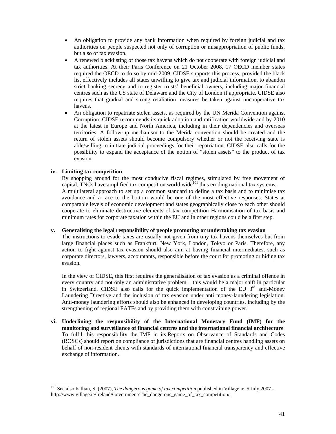- An obligation to provide any bank information when required by foreign judicial and tax authorities on people suspected not only of corruption or misappropriation of public funds, but also of tax evasion.
- A renewed blacklisting of those tax havens which do not cooperate with foreign judicial and tax authorities. At their Paris Conference on 21 October 2008, 17 OECD member states required the OECD to do so by mid-2009. CIDSE supports this process, provided the black list effectively includes all states unwilling to give tax and judicial information, to abandon strict banking secrecy and to register trusts' beneficial owners, including major financial centres such as the US state of Delaware and the City of London if appropriate. CIDSE also requires that gradual and strong retaliation measures be taken against uncooperative tax havens.
- An obligation to repatriate stolen assets, as required by the UN Merida Convention against Corruption. CIDSE recommends its quick adoption and ratification worldwide and by 2010 at the latest in Europe and North America, including in their dependencies and overseas territories. A follow-up mechanism to the Merida convention should be created and the return of stolen assets should become compulsory whether or not the receiving state is able/willing to initiate judicial proceedings for their repatriation. CIDSE also calls for the possibility to expand the acceptance of the notion of "stolen assets" to the product of tax evasion.

#### **iv. Limiting tax competition**

 $\overline{a}$ 

By shopping around for the most conducive fiscal regimes, stimulated by free movement of capital, TNCs have amplified tax competition world wide<sup>101</sup> thus eroding national tax systems. A multilateral approach to set up a common standard to define a tax basis and to minimise tax avoidance and a race to the bottom would be one of the most effective responses. States at comparable levels of economic development and states geographically close to each other should cooperate to eliminate destructive elements of tax competition Harmonisation of tax basis and minimum rates for corporate taxation within the EU and in other regions could be a first step.

#### **v. Generalising the legal responsibility of people promoting or undertaking tax evasion**

The instructions to evade taxes are usually not given from tiny tax havens themselves but from large financial places such as Frankfurt, New York, London, Tokyo or Paris. Therefore, any action to fight against tax evasion should also aim at having financial intermediates, such as corporate directors, lawyers, accountants, responsible before the court for promoting or hiding tax evasion.

In the view of CIDSE, this first requires the generalisation of tax evasion as a criminal offence in every country and not only an administrative problem – this would be a major shift in particular in Switzerland. CIDSE also calls for the quick implementation of the EU  $3<sup>rd</sup>$  anti-Money Laundering Directive and the inclusion of tax evasion under anti money-laundering legislation. Anti-money laundering efforts should also be enhanced in developing countries, including by the strengthening of regional FATFs and by providing them with constraining power.

**vi. Underlining the responsibility of the International Monetary Fund (IMF) for the monitoring and surveillance of financial centres and the international financial architecture** To fulfil this responsibility the IMF in its Reports on Observance of Standards and Codes (ROSCs) should report on compliance of jurisdictions that are financial centres handling assets on behalf of non-resident clients with standards of international financial transparency and effective exchange of information.

<sup>101</sup> See also Killian, S. (2007), *The dangerous game of tax competition* published in Village.ie, 5 July 2007 http://www.village.ie/Ireland/Government/The\_dangerous\_game\_of\_tax\_competition/.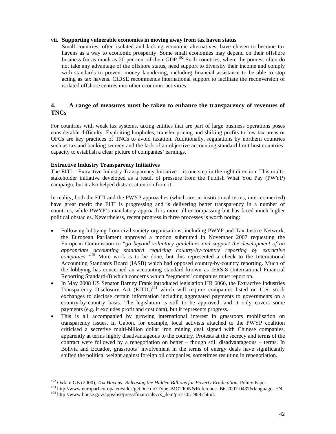#### **vii. Supporting vulnerable economies in moving away from tax haven status**

Small countries, often isolated and lacking economic alternatives, have chosen to become tax havens as a way to economic prosperity. Some small economies may depend on their offshore business for as much as 20 per cent of their GDP.<sup>102</sup> Such countries, where the poorest often do not take any advantage of the offshore status, need support to diversify their income and comply with standards to prevent money laundering, including financial assistance to be able to stop acting as tax havens. CIDSE recommends international support to facilitate the reconversion of isolated offshore centres into other economic activities.

## **4. A range of measures must be taken to enhance the transparency of revenues of TNCs**

For countries with weak tax systems, taxing entities that are part of large business operations poses considerable difficulty. Exploiting loopholes, transfer pricing and shifting profits to low tax areas or OFCs are key practices of TNCs to avoid taxation. Additionally, regulations by northern countries such as tax and banking secrecy and the lack of an objective accounting standard limit host countries' capacity to establish a clear picture of companies' earnings.

## **Extractive Industry Transparency Initiatives**

 $\overline{a}$ 

The EITI – Extractive Industry Transparency Initiative – is one step in the right direction. This multistakeholder initiative developed as a result of pressure from the Publish What You Pay (PWYP) campaign, but it also helped distract attention from it.

In reality, both the EITI and the PWYP approaches (which are, in institutional terms, inter-connected) have great merit: the EITI is progressing and is delivering better transparency in a number of countries, while PWYP's mandatory approach is more all-encompassing but has faced much higher political obstacles. Nevertheless, recent progress in three processes is worth noting:

- Following lobbying from civil society organisations, including PWYP and Tax Justice Network, the European Parliament approved a motion submitted in November 2007 requesting the European Commission to "*go beyond voluntary guidelines and support the development of an appropriate accounting standard requiring country-by-country reporting by extractive companies."<sup>103</sup>* More work is to be done, but this represented a check to the International Accounting Standards Board (IASB) which had opposed country-by-country reporting. Much of the lobbying has concerned an accounting standard known as IFRS-8 (International Financial Reporting Standard-8) which concerns which "segments" companies must report on.
- In May 2008 US Senator Barney Frank introduced legislation HR 6066, the Extractive Industries Transparency Disclosure Act (EITD,)<sup>104</sup> which will require companies listed on U.S. stock exchanges to disclose certain information including aggregated payments to governments on a country-by-country basis. The legislation is still to be approved, and it only covers some payments (e.g. it excludes profit and cost data), but it represents progress.
- This is all accompanied by growing international interest in grassroots mobilisation on transparency issues. In Gabon, for example, local activists attached to the PWYP coalition criticised a secretive multi-billion dollar iron mining deal signed with Chinese companies, apparently at terms highly disadvantageous to the country. Protests at the secrecy and terms of the contract were followed by a renegotiation on better – though still disadvantageous – terms. In Bolivia and Ecuador, grassroots' involvement in the terms of energy deals have significantly shifted the political weight against foreign oil companies, sometimes resulting in renegotiation.

<sup>102</sup> Oxfam GB (2000), *Tax Havens: Releasing the Hidden Billions for Poverty Eradication,* Policy Paper.

<sup>&</sup>lt;sup>103</sup> http://www.europarl.europa.eu/sides/getDoc.do?Type=MOTION&Reference=B6-2007-0437&language=EN. <sup>104</sup> http://www.house.gov/apps/list/press/financialsvcs\_dem/press051908.shtml.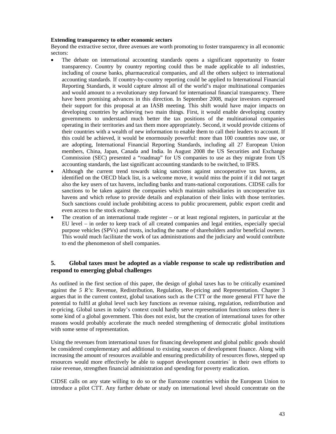#### **Extending transparency to other economic sectors**

Beyond the extractive sector, three avenues are worth promoting to foster transparency in all economic sectors:

- The debate on international accounting standards opens a significant opportunity to foster transparency. Country by country reporting could thus be made applicable to all industries, including of course banks, pharmaceutical companies, and all the others subject to international accounting standards. If country-by-country reporting could be applied to International Financial Reporting Standards, it would capture almost all of the world's major multinational companies and would amount to a revolutionary step forward for international financial transparency. There have been promising advances in this direction. In September 2008, major investors expressed their support for this proposal at an IASB meeting. This shift would have major impacts on developing countries by achieving two main things. First, it would enable developing country governments to understand much better the tax positions of the multinational companies operating in their territories and tax them more appropriately. Second, it would provide citizens of their countries with a wealth of new information to enable them to call their leaders to account. If this could be achieved, it would be enormously powerful: more than 100 countries now use, or are adopting, International Financial Reporting Standards, including all 27 European Union members, China, Japan, Canada and India. In August 2008 the US Securities and Exchange Commission (SEC) presented a "roadmap" for US companies to use as they migrate from US accounting standards, the last significant accounting standards to be switched, to IFRS.
- Although the current trend towards taking sanctions against uncooperative tax havens, as identified on the OECD black list, is a welcome move, it would miss the point if it did not target also the key users of tax havens, including banks and trans-national corporations. CIDSE calls for sanctions to be taken against the companies which maintain subsidiaries in uncooperative tax havens and which refuse to provide details and explanation of their links with those territories. Such sanctions could include prohibiting access to public procurement, public export credit and even access to the stock exchange.
- The creation of an international trade register or at least regional registers, in particular at the EU level – in order to keep track of all created companies and legal entities, especially special purpose vehicles (SPVs) and trusts, including the name of shareholders and/or beneficial owners. This would much facilitate the work of tax administrations and the judiciary and would contribute to end the phenomenon of shell companies.

## **5. Global taxes must be adopted as a viable response to scale up redistribution and respond to emerging global challenges**

As outlined in the first section of this paper, the design of global taxes has to be critically examined against the *5 R's*: Revenue, Redistribution, Regulation, Re-pricing and Representation. Chapter 3 argues that in the current context, global taxations such as the CTT or the more general FTT have the potential to fulfil at global level such key functions as revenue raising, regulation, redistribution and re-pricing. Global taxes in today's context could hardly serve representation functions unless there is some kind of a global government. This does not exist, but the creation of international taxes for other reasons would probably accelerate the much needed strengthening of democratic global institutions with some sense of representation.

Using the revenues from international taxes for financing development and global public goods should be considered complementary and additional to existing sources of development finance. Along with increasing the amount of resources available and ensuring predictability of resources flows, stepped up resources would more effectively be able to support development countries´ in their own efforts to raise revenue, strengthen financial administration and spending for poverty eradication.

CIDSE calls on any state willing to do so or the Eurozone countries within the European Union to introduce a pilot CTT. Any further debate or study on international level should concentrate on the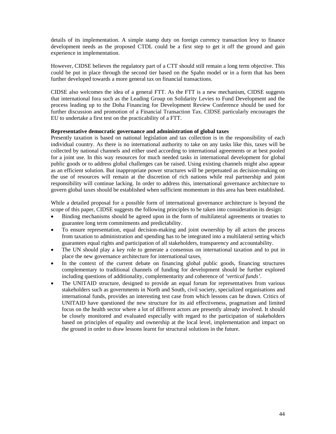details of its implementation. A simple stamp duty on foreign currency transaction levy to finance development needs as the proposed CTDL could be a first step to get it off the ground and gain experience in implementation.

However, CIDSE believes the regulatory part of a CTT should still remain a long term objective. This could be put in place through the second tier based on the Spahn model or in a form that has been further developed towards a more general tax on financial transactions.

CIDSE also welcomes the idea of a general FTT. As the FTT is a new mechanism, CIDSE suggests that international fora such as the Leading Group on Solidarity Levies to Fund Development and the process leading up to the Doha Financing for Development Review Conference should be used for further discussion and promotion of a Financial Transaction Tax. CIDSE particularly encourages the EU to undertake a first test on the practicability of a FTT.

#### **Representative democratic governance and administration of global taxes**

Presently taxation is based on national legislation and tax collection is in the responsibility of each individual country. As there is no international authority to take on any tasks like this, taxes will be collected by national channels and either used according to international agreements or at best pooled for a joint use. In this way resources for much needed tasks in international development for global public goods or to address global challenges can be raised. Using existing channels might also appear as an efficient solution. But inappropriate power structures will be perpetuated as decision-making on the use of resources will remain at the discretion of rich nations while real partnership and joint responsibility will continue lacking. In order to address this, international governance architecture to govern global taxes should be established when sufficient momentum in this area has been established.

While a detailed proposal for a possible form of international governance architecture is beyond the scope of this paper, CIDSE suggests the following principles to be taken into consideration its design:

- Binding mechanisms should be agreed upon in the form of multilateral agreements or treaties to guarantee long term commitments and predictability.
- To ensure representation, equal decision-making and joint ownership by all actors the process from taxation to administration and spending has to be integrated into a multilateral setting which guarantees equal rights and participation of all stakeholders, transparency and accountability.
- The UN should play a key role to generate a consensus on international taxation and to put in place the new governance architecture for international taxes.
- In the context of the current debate on financing global public goods, financing structures complementary to traditional channels of funding for development should be further explored including questions of additionality, complementarity and coherence of '*vertical funds'*.
- The UNITAID structure, designed to provide an equal forum for representatives from various stakeholders such as governments in North and South, civil society, specialized organisations and international funds, provides an interesting test case from which lessons can be drawn. Critics of UNITAID have questioned the new structure for its aid effectiveness, pragmatism and limited focus on the health sector where a lot of different actors are presently already involved. It should be closely monitored and evaluated especially with regard to the participation of stakeholders based on principles of equality and ownership at the local level, implementation and impact on the ground in order to draw lessons learnt for structural solutions in the future.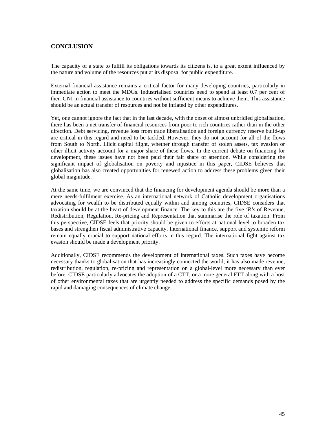# **CONCLUSION**

The capacity of a state to fulfill its obligations towards its citizens is, to a great extent influenced by the nature and volume of the resources put at its disposal for public expenditure.

External financial assistance remains a critical factor for many developing countries, particularly in immediate action to meet the MDGs. Industrialised countries need to spend at least 0.7 per cent of their GNI in financial assistance to countries without sufficient means to achieve them. This assistance should be an actual transfer of resources and not be inflated by other expenditures.

Yet, one cannot ignore the fact that in the last decade, with the onset of almost unbridled globalisation, there has been a net transfer of financial resources from poor to rich countries rather than in the other direction. Debt servicing, revenue loss from trade liberalisation and foreign currency reserve build-up are critical in this regard and need to be tackled. However, they do not account for all of the flows from South to North. Illicit capital flight, whether through transfer of stolen assets, tax evasion or other illicit activity account for a major share of these flows. In the current debate on financing for development, these issues have not been paid their fair share of attention. While considering the significant impact of globalisation on poverty and injustice in this paper, CIDSE believes that globalisation has also created opportunities for renewed action to address these problems given their global magnitude.

At the same time, we are convinced that the financing for development agenda should be more than a mere needs-fulfilment exercise. As an international network of Catholic development organisations advocating for wealth to be distributed equally within and among countries, CIDSE considers that taxation should be at the heart of development finance. The key to this are the five *'R'*s of Revenue, Redistribution, Regulation, Re-pricing and Representation that summarise the role of taxation. From this perspective, CIDSE feels that priority should be given to efforts at national level to broaden tax bases and strengthen fiscal administrative capacity. International finance, support and systemic reform remain equally crucial to support national efforts in this regard. The international fight against tax evasion should be made a development priority.

Additionally, CIDSE recommends the development of international taxes. Such taxes have become necessary thanks to globalisation that has increasingly connected the world; it has also made revenue, redistribution, regulation, re-pricing and representation on a global-level more necessary than ever before. CIDSE particularly advocates the adoption of a CTT, or a more general FTT along with a host of other environmental taxes that are urgently needed to address the specific demands posed by the rapid and damaging consequences of climate change.